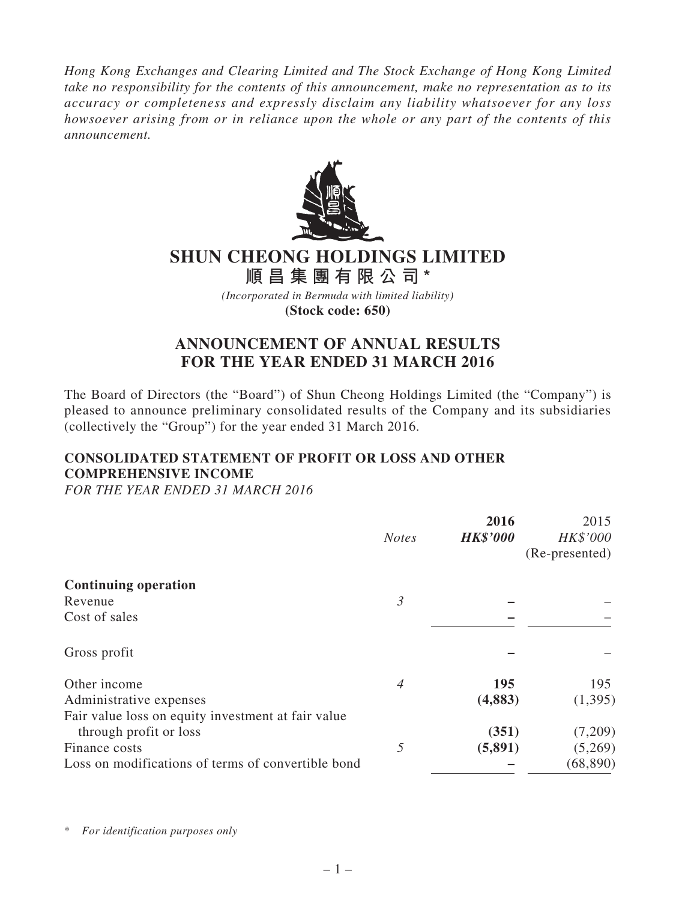*Hong Kong Exchanges and Clearing Limited and The Stock Exchange of Hong Kong Limited take no responsibility for the contents of this announcement, make no representation as to its accuracy or completeness and expressly disclaim any liability whatsoever for any loss howsoever arising from or in reliance upon the whole or any part of the contents of this announcement.*



# **SHUN CHEONG HOLDINGS LIMITED**

**順昌集團有限公司\*** *(Incorporated in Bermuda with limited liability)*

**(Stock code: 650)**

# **ANNOUNCEMENT OF ANNUAL RESULTS FOR THE YEAR ENDED 31 MARCH 2016**

The Board of Directors (the "Board") of Shun Cheong Holdings Limited (the "Company") is pleased to announce preliminary consolidated results of the Company and its subsidiaries (collectively the "Group") for the year ended 31 March 2016.

# **CONSOLIDATED STATEMENT OF PROFIT OR LOSS AND OTHER COMPREHENSIVE INCOME**

*FOR THE YEAR ENDED 31 MARCH 2016*

|                                                    |                | 2016            | 2015           |
|----------------------------------------------------|----------------|-----------------|----------------|
|                                                    | <b>Notes</b>   | <b>HK\$'000</b> | HK\$'000       |
|                                                    |                |                 | (Re-presented) |
| <b>Continuing operation</b>                        |                |                 |                |
| Revenue                                            | $\mathfrak{Z}$ |                 |                |
| Cost of sales                                      |                |                 |                |
| Gross profit                                       |                |                 |                |
| Other income                                       | $\overline{4}$ | 195             | 195            |
| Administrative expenses                            |                | (4,883)         | (1,395)        |
| Fair value loss on equity investment at fair value |                |                 |                |
| through profit or loss                             |                | (351)           | (7,209)        |
| Finance costs                                      | 5              | (5,891)         | (5,269)        |
| Loss on modifications of terms of convertible bond |                |                 | (68, 890)      |

\* *For identification purposes only*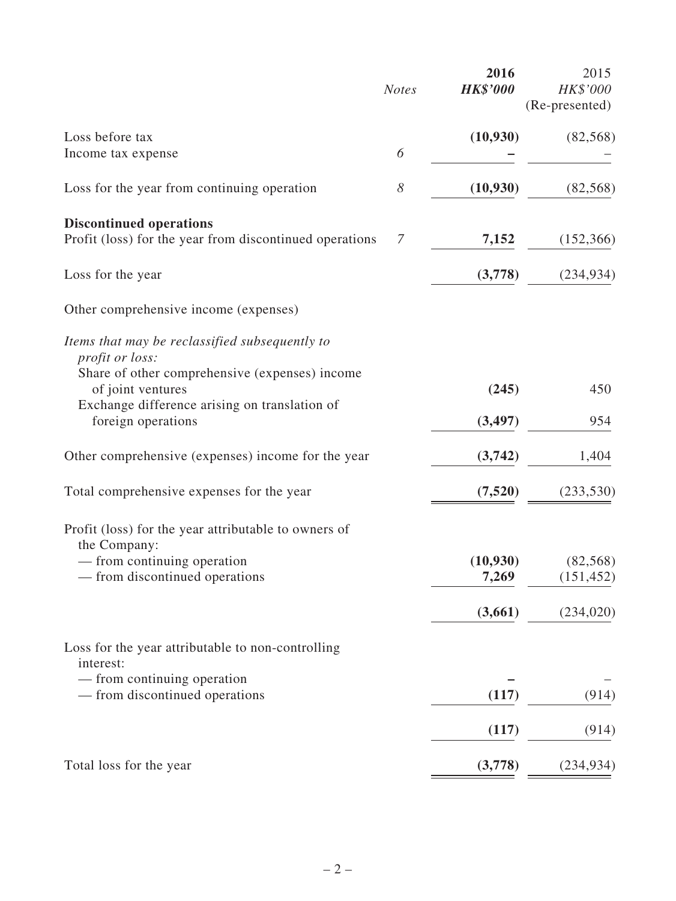|                                                                          | <b>Notes</b> | 2016<br><b>HK\$'000</b> | 2015<br>HK\$'000<br>(Re-presented) |
|--------------------------------------------------------------------------|--------------|-------------------------|------------------------------------|
| Loss before tax                                                          | 6            | (10, 930)               | (82, 568)                          |
| Income tax expense                                                       |              |                         |                                    |
| Loss for the year from continuing operation                              | 8            | (10, 930)               | (82, 568)                          |
| <b>Discontinued operations</b>                                           |              |                         |                                    |
| Profit (loss) for the year from discontinued operations                  | 7            | 7,152                   | (152, 366)                         |
| Loss for the year                                                        |              | (3,778)                 | (234, 934)                         |
| Other comprehensive income (expenses)                                    |              |                         |                                    |
| Items that may be reclassified subsequently to<br><i>profit or loss:</i> |              |                         |                                    |
| Share of other comprehensive (expenses) income<br>of joint ventures      |              | (245)                   | 450                                |
| Exchange difference arising on translation of<br>foreign operations      |              | (3, 497)                | 954                                |
| Other comprehensive (expenses) income for the year                       |              | (3,742)                 | 1,404                              |
| Total comprehensive expenses for the year                                |              | (7,520)                 | (233, 530)                         |
| Profit (loss) for the year attributable to owners of<br>the Company:     |              |                         |                                    |
| — from continuing operation                                              |              | (10, 930)               | (82, 568)                          |
| - from discontinued operations                                           |              | 7,269                   | (151, 452)                         |
|                                                                          |              | (3,661)                 | (234, 020)                         |
| Loss for the year attributable to non-controlling<br>interest:           |              |                         |                                    |
| — from continuing operation                                              |              |                         |                                    |
| — from discontinued operations                                           |              | (117)                   | (914)                              |
|                                                                          |              | (117)                   | (914)                              |
| Total loss for the year                                                  |              | (3,778)                 | (234, 934)                         |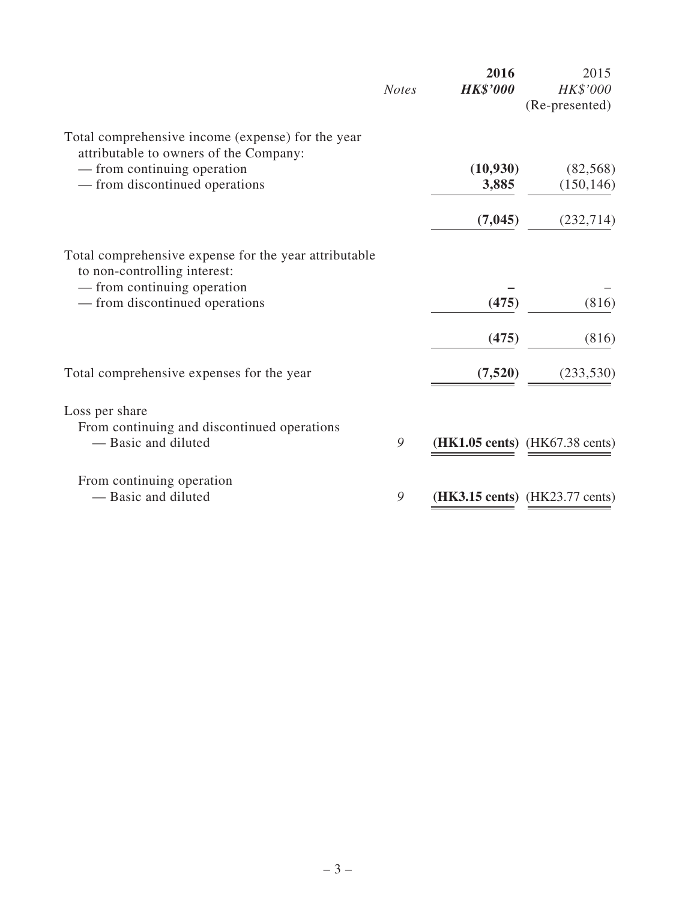|                                                                                             | <b>Notes</b> | 2016<br><b>HK\$'000</b> | 2015<br>HK\$'000<br>(Re-presented)               |
|---------------------------------------------------------------------------------------------|--------------|-------------------------|--------------------------------------------------|
| Total comprehensive income (expense) for the year<br>attributable to owners of the Company: |              |                         |                                                  |
| — from continuing operation                                                                 |              | (10, 930)               | (82, 568)                                        |
| — from discontinued operations                                                              |              | 3,885                   | (150, 146)                                       |
|                                                                                             |              | (7, 045)                | (232, 714)                                       |
| Total comprehensive expense for the year attributable<br>to non-controlling interest:       |              |                         |                                                  |
| — from continuing operation                                                                 |              |                         |                                                  |
| — from discontinued operations                                                              |              | (475)                   | (816)                                            |
|                                                                                             |              | (475)                   | (816)                                            |
| Total comprehensive expenses for the year                                                   |              | (7,520)                 | (233, 530)                                       |
| Loss per share<br>From continuing and discontinued operations                               |              |                         |                                                  |
| - Basic and diluted                                                                         | 9            |                         | ( <b>HK1.05 cents</b> ) ( <b>HK67.38 cents</b> ) |
| From continuing operation                                                                   |              |                         |                                                  |
| - Basic and diluted                                                                         | 9            |                         | (HK3.15 cents) (HK23.77 cents)                   |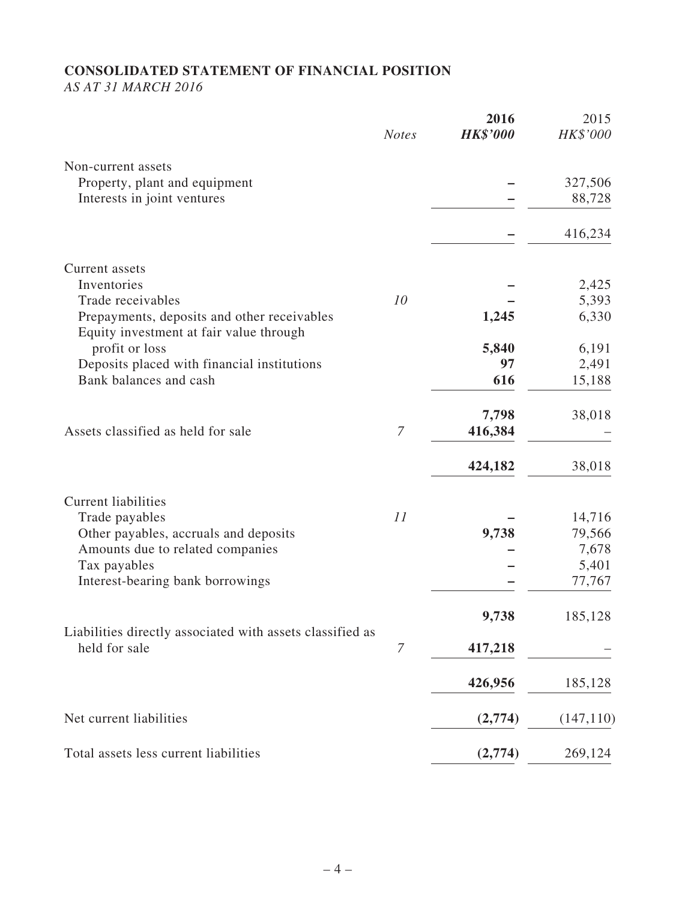# **CONSOLIDATED STATEMENT OF FINANCIAL POSITION**

*AS AT 31 MARCH 2016*

|                                                                                        | <b>Notes</b> | 2016<br><b>HK\$'000</b> | 2015<br>HK\$'000 |
|----------------------------------------------------------------------------------------|--------------|-------------------------|------------------|
| Non-current assets                                                                     |              |                         |                  |
| Property, plant and equipment                                                          |              |                         | 327,506          |
| Interests in joint ventures                                                            |              |                         | 88,728           |
|                                                                                        |              |                         | 416,234          |
| Current assets                                                                         |              |                         |                  |
| Inventories                                                                            |              |                         | 2,425            |
| Trade receivables                                                                      | 10           |                         | 5,393            |
| Prepayments, deposits and other receivables<br>Equity investment at fair value through |              | 1,245                   | 6,330            |
| profit or loss                                                                         |              | 5,840                   | 6,191            |
| Deposits placed with financial institutions                                            |              | 97                      | 2,491            |
| Bank balances and cash                                                                 |              | 616                     | 15,188           |
|                                                                                        |              | 7,798                   | 38,018           |
| Assets classified as held for sale                                                     | $\mathcal I$ | 416,384                 |                  |
|                                                                                        |              | 424,182                 | 38,018           |
| <b>Current liabilities</b>                                                             |              |                         |                  |
| Trade payables                                                                         | 11           |                         | 14,716           |
| Other payables, accruals and deposits                                                  |              | 9,738                   | 79,566           |
| Amounts due to related companies                                                       |              |                         | 7,678            |
| Tax payables                                                                           |              |                         | 5,401            |
| Interest-bearing bank borrowings                                                       |              |                         | 77,767           |
|                                                                                        |              | 9,738                   | 185,128          |
| Liabilities directly associated with assets classified as<br>held for sale             | $\mathcal I$ | 417,218                 |                  |
|                                                                                        |              |                         |                  |
|                                                                                        |              | 426,956                 | 185,128          |
| Net current liabilities                                                                |              | (2,774)                 | (147, 110)       |
| Total assets less current liabilities                                                  |              | (2,774)                 | 269,124          |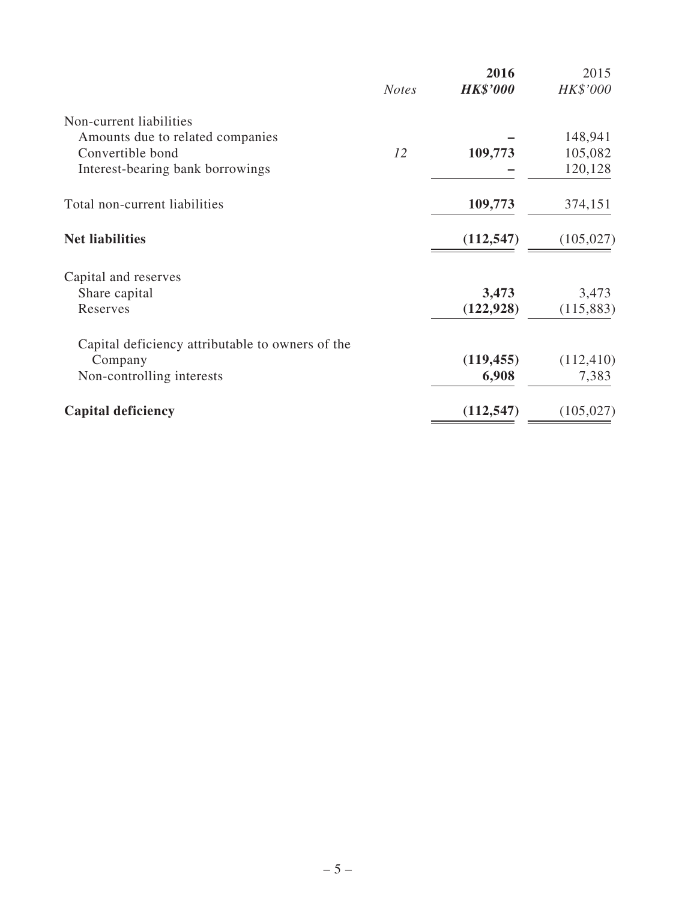|                                                  | <b>Notes</b> | 2016<br><b>HK\$'000</b> | 2015<br>HK\$'000 |
|--------------------------------------------------|--------------|-------------------------|------------------|
| Non-current liabilities                          |              |                         |                  |
| Amounts due to related companies                 |              |                         | 148,941          |
| Convertible bond                                 | 12           | 109,773                 | 105,082          |
| Interest-bearing bank borrowings                 |              |                         | 120,128          |
| Total non-current liabilities                    |              | 109,773                 | 374,151          |
| <b>Net liabilities</b>                           |              | (112, 547)              | (105, 027)       |
| Capital and reserves                             |              |                         |                  |
| Share capital                                    |              | 3,473                   | 3,473            |
| Reserves                                         |              | (122, 928)              | (115,883)        |
| Capital deficiency attributable to owners of the |              |                         |                  |
| Company                                          |              | (119, 455)              | (112, 410)       |
| Non-controlling interests                        |              | 6,908                   | 7,383            |
| <b>Capital deficiency</b>                        |              | (112, 547)              | (105, 027)       |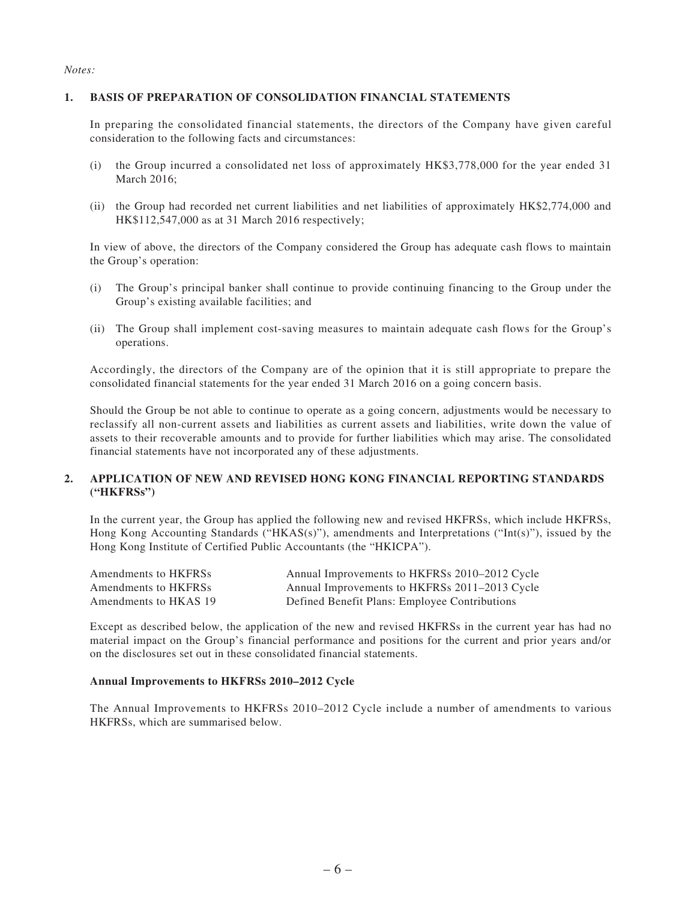#### *Notes:*

#### **1. BASIS OF PREPARATION OF CONSOLIDATION FINANCIAL STATEMENTS**

In preparing the consolidated financial statements, the directors of the Company have given careful consideration to the following facts and circumstances:

- (i) the Group incurred a consolidated net loss of approximately HK\$3,778,000 for the year ended 31 March 2016;
- (ii) the Group had recorded net current liabilities and net liabilities of approximately HK\$2,774,000 and HK\$112,547,000 as at 31 March 2016 respectively;

In view of above, the directors of the Company considered the Group has adequate cash flows to maintain the Group's operation:

- (i) The Group's principal banker shall continue to provide continuing financing to the Group under the Group's existing available facilities; and
- (ii) The Group shall implement cost-saving measures to maintain adequate cash flows for the Group's operations.

Accordingly, the directors of the Company are of the opinion that it is still appropriate to prepare the consolidated financial statements for the year ended 31 March 2016 on a going concern basis.

Should the Group be not able to continue to operate as a going concern, adjustments would be necessary to reclassify all non-current assets and liabilities as current assets and liabilities, write down the value of assets to their recoverable amounts and to provide for further liabilities which may arise. The consolidated financial statements have not incorporated any of these adjustments.

#### **2. APPLICATION OF NEW AND REVISED HONG KONG FINANCIAL REPORTING STANDARDS ("HKFRSs")**

In the current year, the Group has applied the following new and revised HKFRSs, which include HKFRSs, Hong Kong Accounting Standards ("HKAS(s)"), amendments and Interpretations ("Int(s)"), issued by the Hong Kong Institute of Certified Public Accountants (the "HKICPA").

| Amendments to HKFRSs  | Annual Improvements to HKFRSs 2010–2012 Cycle |
|-----------------------|-----------------------------------------------|
| Amendments to HKFRSs  | Annual Improvements to HKFRSs 2011–2013 Cycle |
| Amendments to HKAS 19 | Defined Benefit Plans: Employee Contributions |

Except as described below, the application of the new and revised HKFRSs in the current year has had no material impact on the Group's financial performance and positions for the current and prior years and/or on the disclosures set out in these consolidated financial statements.

#### **Annual Improvements to HKFRSs 2010–2012 Cycle**

The Annual Improvements to HKFRSs 2010–2012 Cycle include a number of amendments to various HKFRSs, which are summarised below.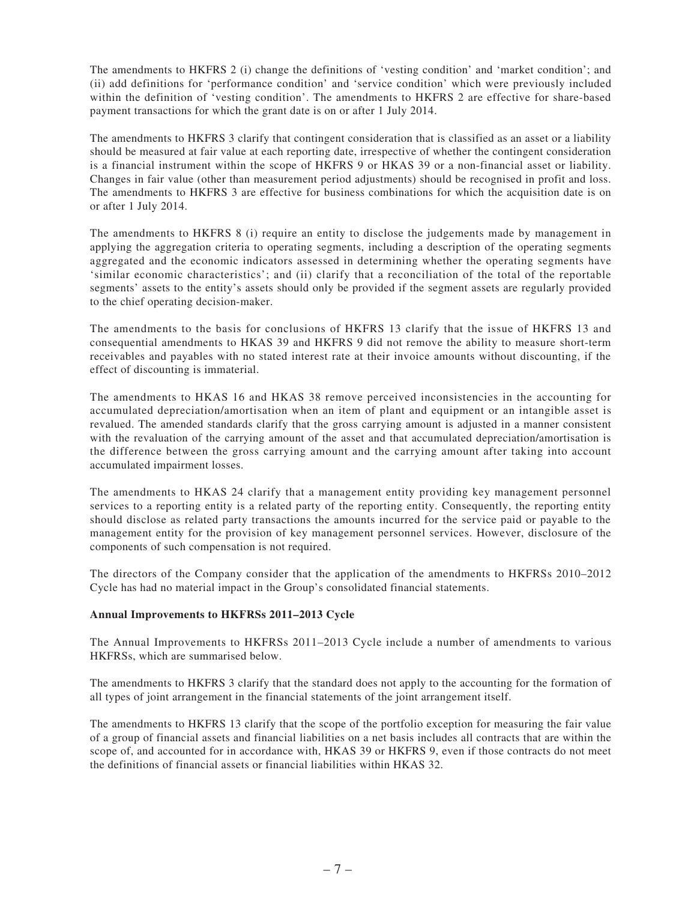The amendments to HKFRS 2 (i) change the definitions of 'vesting condition' and 'market condition'; and (ii) add definitions for 'performance condition' and 'service condition' which were previously included within the definition of 'vesting condition'. The amendments to HKFRS 2 are effective for share-based payment transactions for which the grant date is on or after 1 July 2014.

The amendments to HKFRS 3 clarify that contingent consideration that is classified as an asset or a liability should be measured at fair value at each reporting date, irrespective of whether the contingent consideration is a financial instrument within the scope of HKFRS 9 or HKAS 39 or a non-financial asset or liability. Changes in fair value (other than measurement period adjustments) should be recognised in profit and loss. The amendments to HKFRS 3 are effective for business combinations for which the acquisition date is on or after 1 July 2014.

The amendments to HKFRS 8 (i) require an entity to disclose the judgements made by management in applying the aggregation criteria to operating segments, including a description of the operating segments aggregated and the economic indicators assessed in determining whether the operating segments have 'similar economic characteristics'; and (ii) clarify that a reconciliation of the total of the reportable segments' assets to the entity's assets should only be provided if the segment assets are regularly provided to the chief operating decision-maker.

The amendments to the basis for conclusions of HKFRS 13 clarify that the issue of HKFRS 13 and consequential amendments to HKAS 39 and HKFRS 9 did not remove the ability to measure short-term receivables and payables with no stated interest rate at their invoice amounts without discounting, if the effect of discounting is immaterial.

The amendments to HKAS 16 and HKAS 38 remove perceived inconsistencies in the accounting for accumulated depreciation/amortisation when an item of plant and equipment or an intangible asset is revalued. The amended standards clarify that the gross carrying amount is adjusted in a manner consistent with the revaluation of the carrying amount of the asset and that accumulated depreciation/amortisation is the difference between the gross carrying amount and the carrying amount after taking into account accumulated impairment losses.

The amendments to HKAS 24 clarify that a management entity providing key management personnel services to a reporting entity is a related party of the reporting entity. Consequently, the reporting entity should disclose as related party transactions the amounts incurred for the service paid or payable to the management entity for the provision of key management personnel services. However, disclosure of the components of such compensation is not required.

The directors of the Company consider that the application of the amendments to HKFRSs 2010–2012 Cycle has had no material impact in the Group's consolidated financial statements.

#### **Annual Improvements to HKFRSs 2011–2013 Cycle**

The Annual Improvements to HKFRSs 2011–2013 Cycle include a number of amendments to various HKFRSs, which are summarised below.

The amendments to HKFRS 3 clarify that the standard does not apply to the accounting for the formation of all types of joint arrangement in the financial statements of the joint arrangement itself.

The amendments to HKFRS 13 clarify that the scope of the portfolio exception for measuring the fair value of a group of financial assets and financial liabilities on a net basis includes all contracts that are within the scope of, and accounted for in accordance with, HKAS 39 or HKFRS 9, even if those contracts do not meet the definitions of financial assets or financial liabilities within HKAS 32.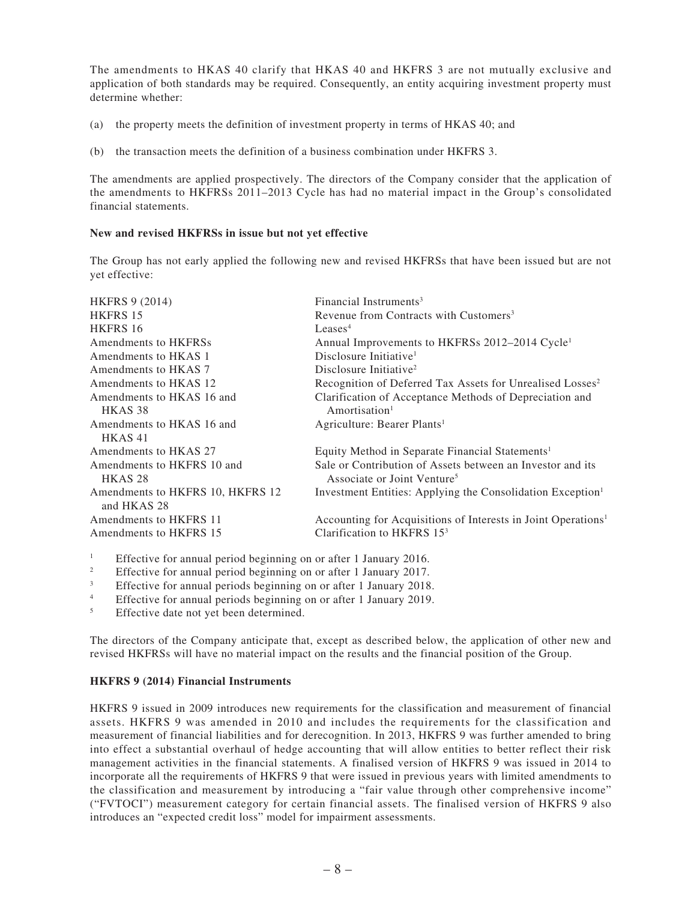The amendments to HKAS 40 clarify that HKAS 40 and HKFRS 3 are not mutually exclusive and application of both standards may be required. Consequently, an entity acquiring investment property must determine whether:

- (a) the property meets the definition of investment property in terms of HKAS 40; and
- (b) the transaction meets the definition of a business combination under HKFRS 3.

The amendments are applied prospectively. The directors of the Company consider that the application of the amendments to HKFRSs 2011–2013 Cycle has had no material impact in the Group's consolidated financial statements.

#### **New and revised HKFRSs in issue but not yet effective**

The Group has not early applied the following new and revised HKFRSs that have been issued but are not yet effective:

| <b>HKFRS 9 (2014)</b>                           | Financial Instruments <sup>3</sup>                                        |
|-------------------------------------------------|---------------------------------------------------------------------------|
| <b>HKFRS 15</b>                                 | Revenue from Contracts with Customers <sup>3</sup>                        |
| HKFRS 16                                        | Leases <sup>4</sup>                                                       |
| Amendments to HKFRSs                            | Annual Improvements to HKFRSs 2012-2014 Cycle <sup>1</sup>                |
| Amendments to HKAS 1                            | Disclosure Initiative <sup>1</sup>                                        |
| Amendments to HKAS 7                            | Disclosure Initiative <sup>2</sup>                                        |
| Amendments to HKAS 12                           | Recognition of Deferred Tax Assets for Unrealised Losses <sup>2</sup>     |
| Amendments to HKAS 16 and                       | Clarification of Acceptance Methods of Depreciation and                   |
| HKAS <sub>38</sub>                              | Amortisation <sup>1</sup>                                                 |
| Amendments to HKAS 16 and                       | Agriculture: Bearer Plants <sup>1</sup>                                   |
| HKAS41                                          |                                                                           |
| Amendments to HKAS 27                           | Equity Method in Separate Financial Statements <sup>1</sup>               |
| Amendments to HKFRS 10 and                      | Sale or Contribution of Assets between an Investor and its                |
| HKAS <sub>28</sub>                              | Associate or Joint Venture <sup>5</sup>                                   |
| Amendments to HKFRS 10, HKFRS 12<br>and HKAS 28 | Investment Entities: Applying the Consolidation Exception <sup>1</sup>    |
| Amendments to HKFRS 11                          | Accounting for Acquisitions of Interests in Joint Operations <sup>1</sup> |
| Amendments to HKFRS 15                          | Clarification to HKFRS $153$                                              |
|                                                 |                                                                           |

<sup>1</sup> Effective for annual period beginning on or after 1 January 2016.<br><sup>2</sup> Effective for annual period beginning on or after 1 January 2017.

<sup>2</sup> Effective for annual period beginning on or after 1 January 2017.<br>Effective for annual periods beginning on or after 1 January 2018

<sup>3</sup> Effective for annual periods beginning on or after 1 January 2018.

- <sup>4</sup> Effective for annual periods beginning on or after 1 January 2019.
- Effective date not yet been determined.

The directors of the Company anticipate that, except as described below, the application of other new and revised HKFRSs will have no material impact on the results and the financial position of the Group.

#### **HKFRS 9 (2014) Financial Instruments**

HKFRS 9 issued in 2009 introduces new requirements for the classification and measurement of financial assets. HKFRS 9 was amended in 2010 and includes the requirements for the classification and measurement of financial liabilities and for derecognition. In 2013, HKFRS 9 was further amended to bring into effect a substantial overhaul of hedge accounting that will allow entities to better reflect their risk management activities in the financial statements. A finalised version of HKFRS 9 was issued in 2014 to incorporate all the requirements of HKFRS 9 that were issued in previous years with limited amendments to the classification and measurement by introducing a "fair value through other comprehensive income" ("FVTOCI") measurement category for certain financial assets. The finalised version of HKFRS 9 also introduces an "expected credit loss" model for impairment assessments.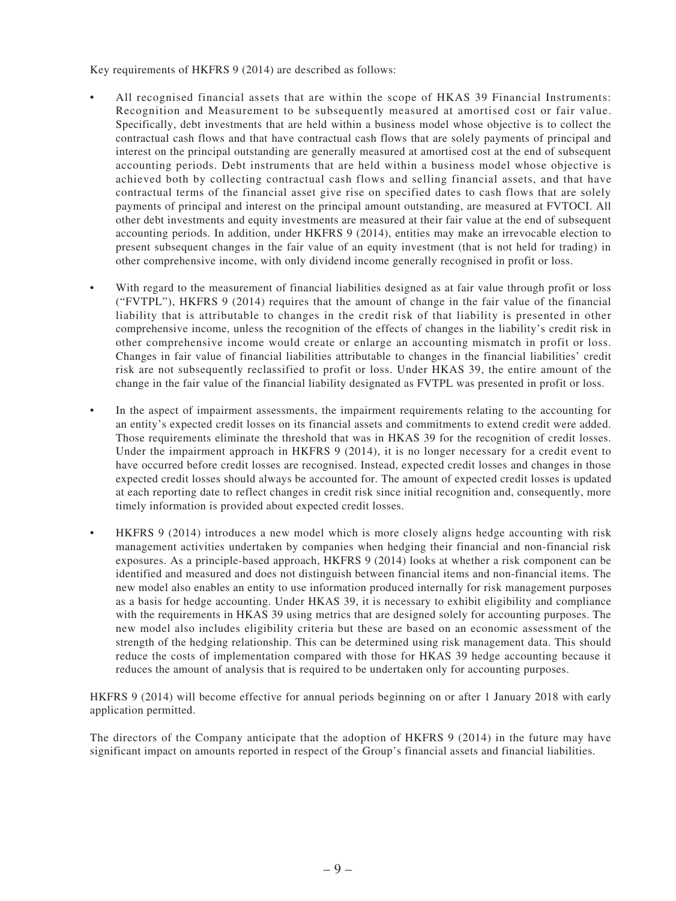Key requirements of HKFRS 9 (2014) are described as follows:

- All recognised financial assets that are within the scope of HKAS 39 Financial Instruments: Recognition and Measurement to be subsequently measured at amortised cost or fair value. Specifically, debt investments that are held within a business model whose objective is to collect the contractual cash flows and that have contractual cash flows that are solely payments of principal and interest on the principal outstanding are generally measured at amortised cost at the end of subsequent accounting periods. Debt instruments that are held within a business model whose objective is achieved both by collecting contractual cash flows and selling financial assets, and that have contractual terms of the financial asset give rise on specified dates to cash flows that are solely payments of principal and interest on the principal amount outstanding, are measured at FVTOCI. All other debt investments and equity investments are measured at their fair value at the end of subsequent accounting periods. In addition, under HKFRS 9 (2014), entities may make an irrevocable election to present subsequent changes in the fair value of an equity investment (that is not held for trading) in other comprehensive income, with only dividend income generally recognised in profit or loss.
- With regard to the measurement of financial liabilities designed as at fair value through profit or loss ("FVTPL"), HKFRS 9 (2014) requires that the amount of change in the fair value of the financial liability that is attributable to changes in the credit risk of that liability is presented in other comprehensive income, unless the recognition of the effects of changes in the liability's credit risk in other comprehensive income would create or enlarge an accounting mismatch in profit or loss. Changes in fair value of financial liabilities attributable to changes in the financial liabilities' credit risk are not subsequently reclassified to profit or loss. Under HKAS 39, the entire amount of the change in the fair value of the financial liability designated as FVTPL was presented in profit or loss.
- In the aspect of impairment assessments, the impairment requirements relating to the accounting for an entity's expected credit losses on its financial assets and commitments to extend credit were added. Those requirements eliminate the threshold that was in HKAS 39 for the recognition of credit losses. Under the impairment approach in HKFRS 9 (2014), it is no longer necessary for a credit event to have occurred before credit losses are recognised. Instead, expected credit losses and changes in those expected credit losses should always be accounted for. The amount of expected credit losses is updated at each reporting date to reflect changes in credit risk since initial recognition and, consequently, more timely information is provided about expected credit losses.
- HKFRS 9 (2014) introduces a new model which is more closely aligns hedge accounting with risk management activities undertaken by companies when hedging their financial and non-financial risk exposures. As a principle-based approach, HKFRS 9 (2014) looks at whether a risk component can be identified and measured and does not distinguish between financial items and non-financial items. The new model also enables an entity to use information produced internally for risk management purposes as a basis for hedge accounting. Under HKAS 39, it is necessary to exhibit eligibility and compliance with the requirements in HKAS 39 using metrics that are designed solely for accounting purposes. The new model also includes eligibility criteria but these are based on an economic assessment of the strength of the hedging relationship. This can be determined using risk management data. This should reduce the costs of implementation compared with those for HKAS 39 hedge accounting because it reduces the amount of analysis that is required to be undertaken only for accounting purposes.

HKFRS 9 (2014) will become effective for annual periods beginning on or after 1 January 2018 with early application permitted.

The directors of the Company anticipate that the adoption of HKFRS 9 (2014) in the future may have significant impact on amounts reported in respect of the Group's financial assets and financial liabilities.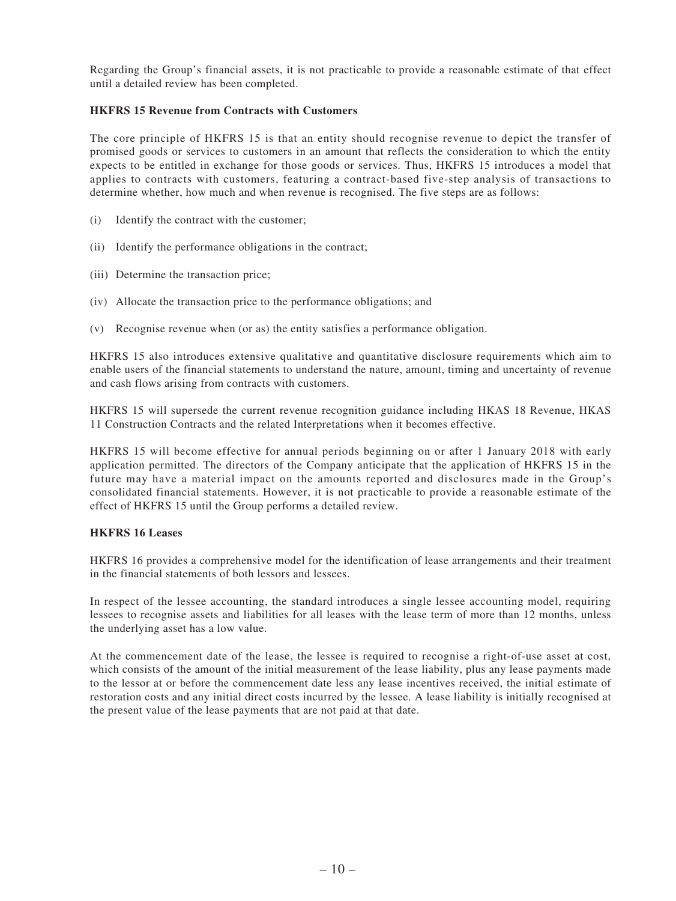Regarding the Group's financial assets, it is not practicable to provide a reasonable estimate of that effect until a detailed review has been completed.

#### **HKFRS 15 Revenue from Contracts with Customers**

The core principle of HKFRS 15 is that an entity should recognise revenue to depict the transfer of promised goods or services to customers in an amount that reflects the consideration to which the entity expects to be entitled in exchange for those goods or services. Thus, HKFRS 15 introduces a model that applies to contracts with customers, featuring a contract-based five-step analysis of transactions to determine whether, how much and when revenue is recognised. The five steps are as follows:

- (i) Identify the contract with the customer;
- (ii) Identify the performance obligations in the contract;
- (iii) Determine the transaction price;
- (iv) Allocate the transaction price to the performance obligations; and
- (v) Recognise revenue when (or as) the entity satisfies a performance obligation.

HKFRS 15 also introduces extensive qualitative and quantitative disclosure requirements which aim to enable users of the financial statements to understand the nature, amount, timing and uncertainty of revenue and cash flows arising from contracts with customers.

HKFRS 15 will supersede the current revenue recognition guidance including HKAS 18 Revenue, HKAS 11 Construction Contracts and the related Interpretations when it becomes effective.

HKFRS 15 will become effective for annual periods beginning on or after 1 January 2018 with early application permitted. The directors of the Company anticipate that the application of HKFRS 15 in the future may have a material impact on the amounts reported and disclosures made in the Group's consolidated financial statements. However, it is not practicable to provide a reasonable estimate of the effect of HKFRS 15 until the Group performs a detailed review.

#### **HKFRS 16 Leases**

HKFRS 16 provides a comprehensive model for the identification of lease arrangements and their treatment in the financial statements of both lessors and lessees.

In respect of the lessee accounting, the standard introduces a single lessee accounting model, requiring lessees to recognise assets and liabilities for all leases with the lease term of more than 12 months, unless the underlying asset has a low value.

At the commencement date of the lease, the lessee is required to recognise a right-of-use asset at cost, which consists of the amount of the initial measurement of the lease liability, plus any lease payments made to the lessor at or before the commencement date less any lease incentives received, the initial estimate of restoration costs and any initial direct costs incurred by the lessee. A lease liability is initially recognised at the present value of the lease payments that are not paid at that date.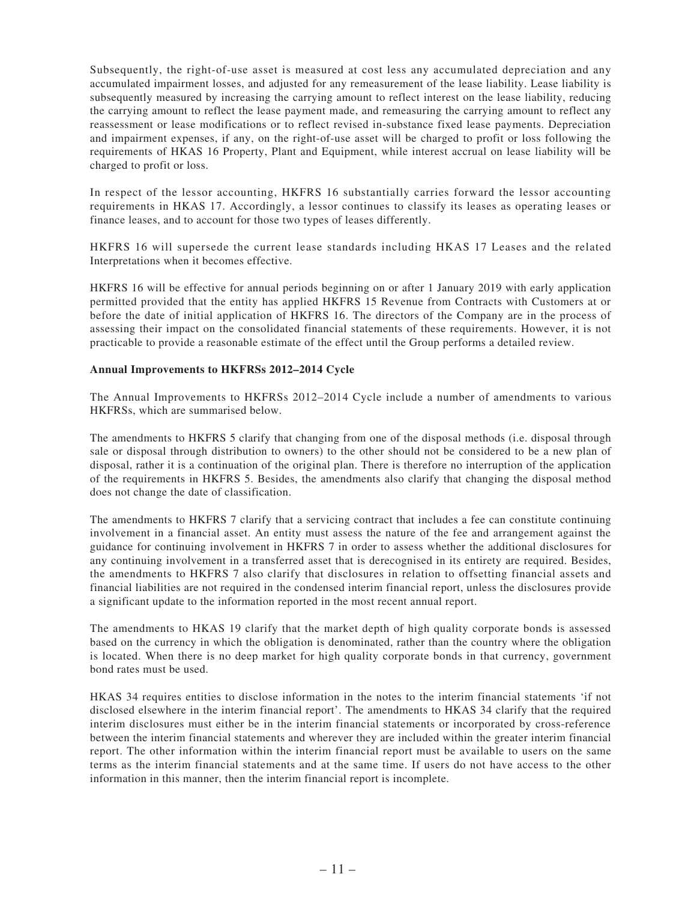Subsequently, the right-of-use asset is measured at cost less any accumulated depreciation and any accumulated impairment losses, and adjusted for any remeasurement of the lease liability. Lease liability is subsequently measured by increasing the carrying amount to reflect interest on the lease liability, reducing the carrying amount to reflect the lease payment made, and remeasuring the carrying amount to reflect any reassessment or lease modifications or to reflect revised in-substance fixed lease payments. Depreciation and impairment expenses, if any, on the right-of-use asset will be charged to profit or loss following the requirements of HKAS 16 Property, Plant and Equipment, while interest accrual on lease liability will be charged to profit or loss.

In respect of the lessor accounting, HKFRS 16 substantially carries forward the lessor accounting requirements in HKAS 17. Accordingly, a lessor continues to classify its leases as operating leases or finance leases, and to account for those two types of leases differently.

HKFRS 16 will supersede the current lease standards including HKAS 17 Leases and the related Interpretations when it becomes effective.

HKFRS 16 will be effective for annual periods beginning on or after 1 January 2019 with early application permitted provided that the entity has applied HKFRS 15 Revenue from Contracts with Customers at or before the date of initial application of HKFRS 16. The directors of the Company are in the process of assessing their impact on the consolidated financial statements of these requirements. However, it is not practicable to provide a reasonable estimate of the effect until the Group performs a detailed review.

#### **Annual Improvements to HKFRSs 2012–2014 Cycle**

The Annual Improvements to HKFRSs 2012–2014 Cycle include a number of amendments to various HKFRSs, which are summarised below.

The amendments to HKFRS 5 clarify that changing from one of the disposal methods (i.e. disposal through sale or disposal through distribution to owners) to the other should not be considered to be a new plan of disposal, rather it is a continuation of the original plan. There is therefore no interruption of the application of the requirements in HKFRS 5. Besides, the amendments also clarify that changing the disposal method does not change the date of classification.

The amendments to HKFRS 7 clarify that a servicing contract that includes a fee can constitute continuing involvement in a financial asset. An entity must assess the nature of the fee and arrangement against the guidance for continuing involvement in HKFRS 7 in order to assess whether the additional disclosures for any continuing involvement in a transferred asset that is derecognised in its entirety are required. Besides, the amendments to HKFRS 7 also clarify that disclosures in relation to offsetting financial assets and financial liabilities are not required in the condensed interim financial report, unless the disclosures provide a significant update to the information reported in the most recent annual report.

The amendments to HKAS 19 clarify that the market depth of high quality corporate bonds is assessed based on the currency in which the obligation is denominated, rather than the country where the obligation is located. When there is no deep market for high quality corporate bonds in that currency, government bond rates must be used.

HKAS 34 requires entities to disclose information in the notes to the interim financial statements 'if not disclosed elsewhere in the interim financial report'. The amendments to HKAS 34 clarify that the required interim disclosures must either be in the interim financial statements or incorporated by cross-reference between the interim financial statements and wherever they are included within the greater interim financial report. The other information within the interim financial report must be available to users on the same terms as the interim financial statements and at the same time. If users do not have access to the other information in this manner, then the interim financial report is incomplete.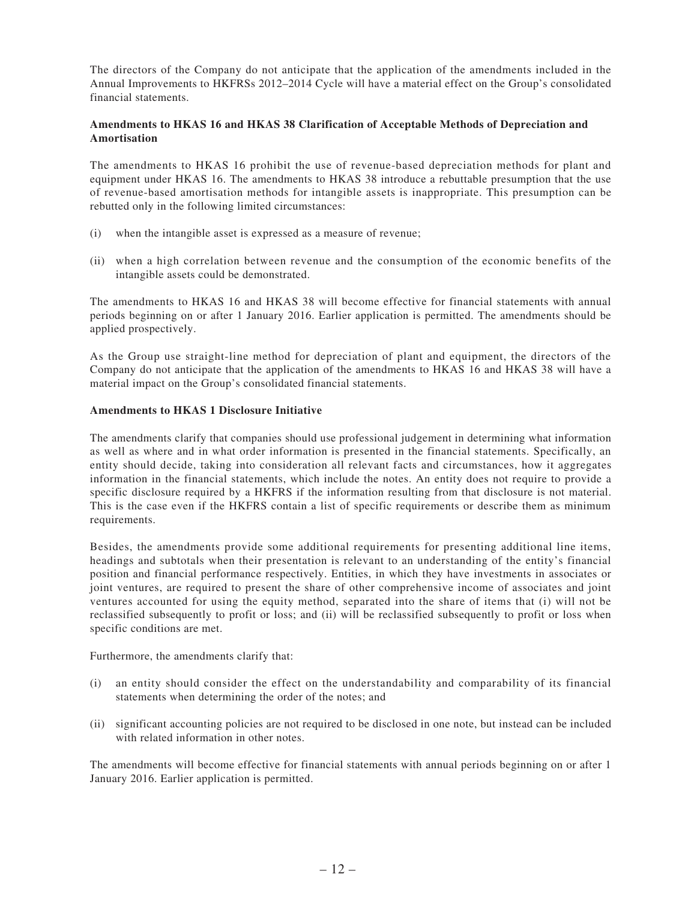The directors of the Company do not anticipate that the application of the amendments included in the Annual Improvements to HKFRSs 2012–2014 Cycle will have a material effect on the Group's consolidated financial statements.

#### **Amendments to HKAS 16 and HKAS 38 Clarification of Acceptable Methods of Depreciation and Amortisation**

The amendments to HKAS 16 prohibit the use of revenue-based depreciation methods for plant and equipment under HKAS 16. The amendments to HKAS 38 introduce a rebuttable presumption that the use of revenue-based amortisation methods for intangible assets is inappropriate. This presumption can be rebutted only in the following limited circumstances:

- (i) when the intangible asset is expressed as a measure of revenue;
- (ii) when a high correlation between revenue and the consumption of the economic benefits of the intangible assets could be demonstrated.

The amendments to HKAS 16 and HKAS 38 will become effective for financial statements with annual periods beginning on or after 1 January 2016. Earlier application is permitted. The amendments should be applied prospectively.

As the Group use straight-line method for depreciation of plant and equipment, the directors of the Company do not anticipate that the application of the amendments to HKAS 16 and HKAS 38 will have a material impact on the Group's consolidated financial statements.

#### **Amendments to HKAS 1 Disclosure Initiative**

The amendments clarify that companies should use professional judgement in determining what information as well as where and in what order information is presented in the financial statements. Specifically, an entity should decide, taking into consideration all relevant facts and circumstances, how it aggregates information in the financial statements, which include the notes. An entity does not require to provide a specific disclosure required by a HKFRS if the information resulting from that disclosure is not material. This is the case even if the HKFRS contain a list of specific requirements or describe them as minimum requirements.

Besides, the amendments provide some additional requirements for presenting additional line items, headings and subtotals when their presentation is relevant to an understanding of the entity's financial position and financial performance respectively. Entities, in which they have investments in associates or joint ventures, are required to present the share of other comprehensive income of associates and joint ventures accounted for using the equity method, separated into the share of items that (i) will not be reclassified subsequently to profit or loss; and (ii) will be reclassified subsequently to profit or loss when specific conditions are met.

Furthermore, the amendments clarify that:

- (i) an entity should consider the effect on the understandability and comparability of its financial statements when determining the order of the notes; and
- (ii) significant accounting policies are not required to be disclosed in one note, but instead can be included with related information in other notes.

The amendments will become effective for financial statements with annual periods beginning on or after 1 January 2016. Earlier application is permitted.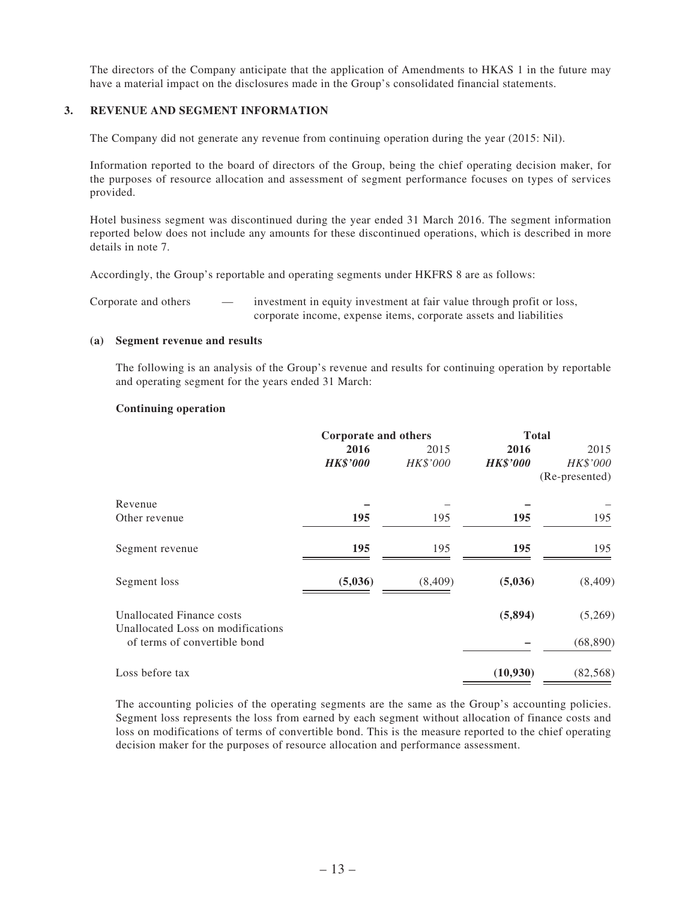The directors of the Company anticipate that the application of Amendments to HKAS 1 in the future may have a material impact on the disclosures made in the Group's consolidated financial statements.

#### **3. REVENUE AND SEGMENT INFORMATION**

The Company did not generate any revenue from continuing operation during the year (2015: Nil).

Information reported to the board of directors of the Group, being the chief operating decision maker, for the purposes of resource allocation and assessment of segment performance focuses on types of services provided.

Hotel business segment was discontinued during the year ended 31 March 2016. The segment information reported below does not include any amounts for these discontinued operations, which is described in more details in note 7.

Accordingly, the Group's reportable and operating segments under HKFRS 8 are as follows:

| Corporate and others | investment in equity investment at fair value through profit or loss, |
|----------------------|-----------------------------------------------------------------------|
|                      | corporate income, expense items, corporate assets and liabilities     |

#### **(a) Segment revenue and results**

The following is an analysis of the Group's revenue and results for continuing operation by reportable and operating segment for the years ended 31 March:

#### **Continuing operation**

|                                                                | <b>Corporate and others</b> |          | <b>Total</b>    |                            |
|----------------------------------------------------------------|-----------------------------|----------|-----------------|----------------------------|
|                                                                | 2016<br>2015                |          | 2016            |                            |
|                                                                | <b>HK\$'000</b>             | HK\$'000 | <b>HK\$'000</b> | HK\$'000<br>(Re-presented) |
| Revenue                                                        |                             |          |                 |                            |
| Other revenue                                                  | 195                         | 195      | 195             | 195                        |
| Segment revenue                                                | 195                         | 195      | 195             | 195                        |
| Segment loss                                                   | (5,036)                     | (8,409)  | (5,036)         | (8,409)                    |
| Unallocated Finance costs<br>Unallocated Loss on modifications |                             |          | (5,894)         | (5,269)                    |
| of terms of convertible bond                                   |                             |          |                 | (68, 890)                  |
| Loss before tax                                                |                             |          | (10, 930)       | (82, 568)                  |

The accounting policies of the operating segments are the same as the Group's accounting policies. Segment loss represents the loss from earned by each segment without allocation of finance costs and loss on modifications of terms of convertible bond. This is the measure reported to the chief operating decision maker for the purposes of resource allocation and performance assessment.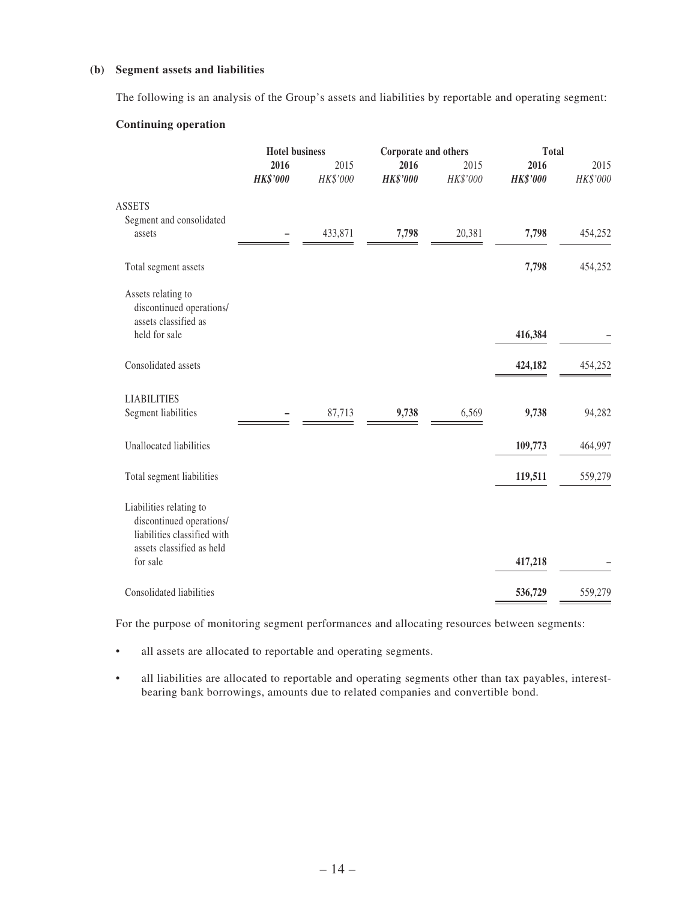#### **(b) Segment assets and liabilities**

The following is an analysis of the Group's assets and liabilities by reportable and operating segment:

#### **Continuing operation**

|                                                                                                                 | <b>Hotel business</b>   |                  | Corporate and others    |                  | <b>Total</b>            |                  |
|-----------------------------------------------------------------------------------------------------------------|-------------------------|------------------|-------------------------|------------------|-------------------------|------------------|
|                                                                                                                 | 2016<br><b>HK\$'000</b> | 2015<br>HK\$'000 | 2016<br><b>HK\$'000</b> | 2015<br>HK\$'000 | 2016<br><b>HK\$'000</b> | 2015<br>HK\$'000 |
| <b>ASSETS</b><br>Segment and consolidated                                                                       |                         |                  |                         |                  |                         |                  |
| assets                                                                                                          |                         | 433,871          | 7,798                   | 20,381           | 7,798                   | 454,252          |
| Total segment assets                                                                                            |                         |                  |                         |                  | 7,798                   | 454,252          |
| Assets relating to<br>discontinued operations/<br>assets classified as                                          |                         |                  |                         |                  |                         |                  |
| held for sale                                                                                                   |                         |                  |                         |                  | 416,384                 |                  |
| Consolidated assets                                                                                             |                         |                  |                         |                  | 424,182                 | 454,252          |
| <b>LIABILITIES</b>                                                                                              |                         |                  |                         |                  |                         |                  |
| Segment liabilities                                                                                             |                         | 87,713           | 9,738                   | 6,569            | 9,738                   | 94,282           |
| Unallocated liabilities                                                                                         |                         |                  |                         |                  | 109,773                 | 464,997          |
| Total segment liabilities                                                                                       |                         |                  |                         |                  | 119,511                 | 559,279          |
| Liabilities relating to<br>discontinued operations/<br>liabilities classified with<br>assets classified as held |                         |                  |                         |                  |                         |                  |
| for sale                                                                                                        |                         |                  |                         |                  | 417,218                 |                  |
| Consolidated liabilities                                                                                        |                         |                  |                         |                  | 536,729                 | 559,279          |

For the purpose of monitoring segment performances and allocating resources between segments:

- • all assets are allocated to reportable and operating segments.
- • all liabilities are allocated to reportable and operating segments other than tax payables, interestbearing bank borrowings, amounts due to related companies and convertible bond.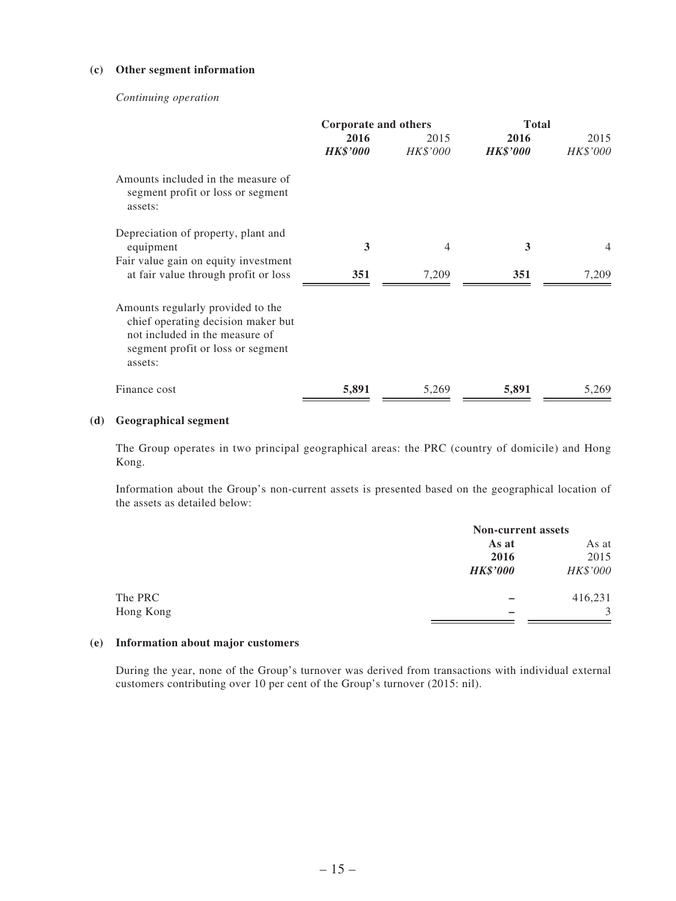#### **(c) Other segment information**

#### *Continuing operation*

|                                                                                                                                                           | Corporate and others    |                  | <b>Total</b>            |                  |
|-----------------------------------------------------------------------------------------------------------------------------------------------------------|-------------------------|------------------|-------------------------|------------------|
|                                                                                                                                                           | 2016<br><b>HK\$'000</b> | 2015<br>HK\$'000 | 2016<br><b>HK\$'000</b> | 2015<br>HK\$'000 |
| Amounts included in the measure of<br>segment profit or loss or segment<br>assets:                                                                        |                         |                  |                         |                  |
| Depreciation of property, plant and<br>equipment                                                                                                          | 3                       | 4                | 3                       | $\overline{4}$   |
| Fair value gain on equity investment<br>at fair value through profit or loss                                                                              | 351                     | 7,209            | 351                     | 7,209            |
| Amounts regularly provided to the<br>chief operating decision maker but<br>not included in the measure of<br>segment profit or loss or segment<br>assets: |                         |                  |                         |                  |
| Finance cost                                                                                                                                              | 5,891                   | 5,269            | 5,891                   | 5,269            |

#### **(d) Geographical segment**

The Group operates in two principal geographical areas: the PRC (country of domicile) and Hong Kong.

Information about the Group's non-current assets is presented based on the geographical location of the assets as detailed below:

|                 | <b>Non-current assets</b> |  |  |
|-----------------|---------------------------|--|--|
| As at           | As at                     |  |  |
| 2016            | 2015                      |  |  |
| <b>HK\$'000</b> | HK\$'000                  |  |  |
|                 | 416,231                   |  |  |
|                 | 3                         |  |  |
|                 |                           |  |  |

#### **(e) Information about major customers**

During the year, none of the Group's turnover was derived from transactions with individual external customers contributing over 10 per cent of the Group's turnover (2015: nil).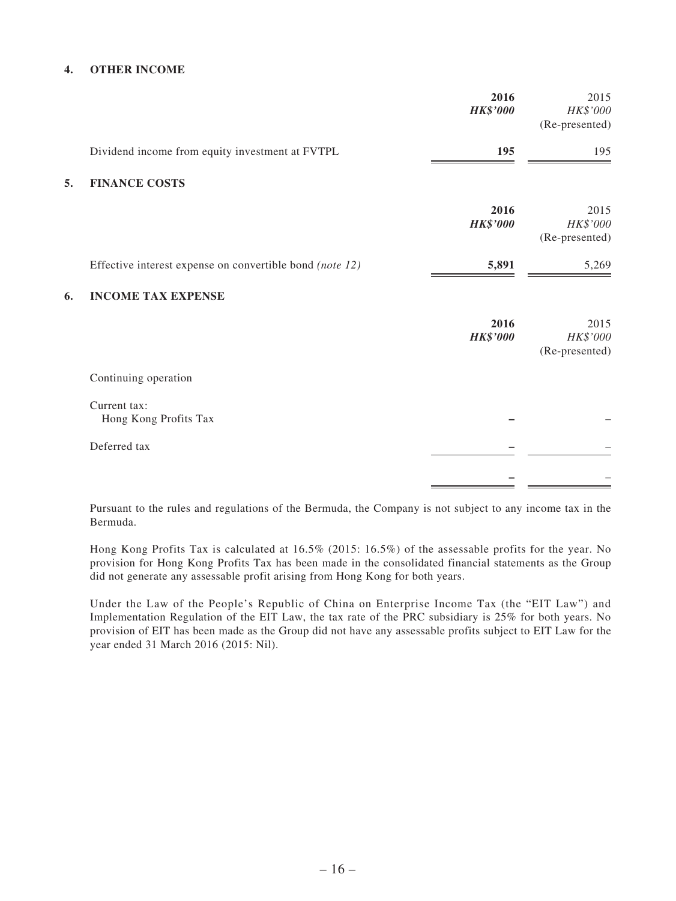#### **4. OTHER INCOME**

|    |                                                          | 2016<br><b>HK\$'000</b> | 2015<br>HK\$'000<br>(Re-presented) |
|----|----------------------------------------------------------|-------------------------|------------------------------------|
|    | Dividend income from equity investment at FVTPL          | 195                     | 195                                |
| 5. | <b>FINANCE COSTS</b>                                     |                         |                                    |
|    |                                                          | 2016<br><b>HK\$'000</b> | 2015<br>HK\$'000<br>(Re-presented) |
|    | Effective interest expense on convertible bond (note 12) | 5,891                   | 5,269                              |
| 6. | <b>INCOME TAX EXPENSE</b>                                |                         |                                    |
|    |                                                          | 2016<br><b>HK\$'000</b> | 2015<br>HK\$'000<br>(Re-presented) |
|    | Continuing operation                                     |                         |                                    |
|    | Current tax:<br>Hong Kong Profits Tax                    |                         |                                    |
|    | Deferred tax                                             |                         |                                    |
|    |                                                          |                         |                                    |

Pursuant to the rules and regulations of the Bermuda, the Company is not subject to any income tax in the Bermuda.

Hong Kong Profits Tax is calculated at 16.5% (2015: 16.5%) of the assessable profits for the year. No provision for Hong Kong Profits Tax has been made in the consolidated financial statements as the Group did not generate any assessable profit arising from Hong Kong for both years.

Under the Law of the People's Republic of China on Enterprise Income Tax (the "EIT Law") and Implementation Regulation of the EIT Law, the tax rate of the PRC subsidiary is 25% for both years. No provision of EIT has been made as the Group did not have any assessable profits subject to EIT Law for the year ended 31 March 2016 (2015: Nil).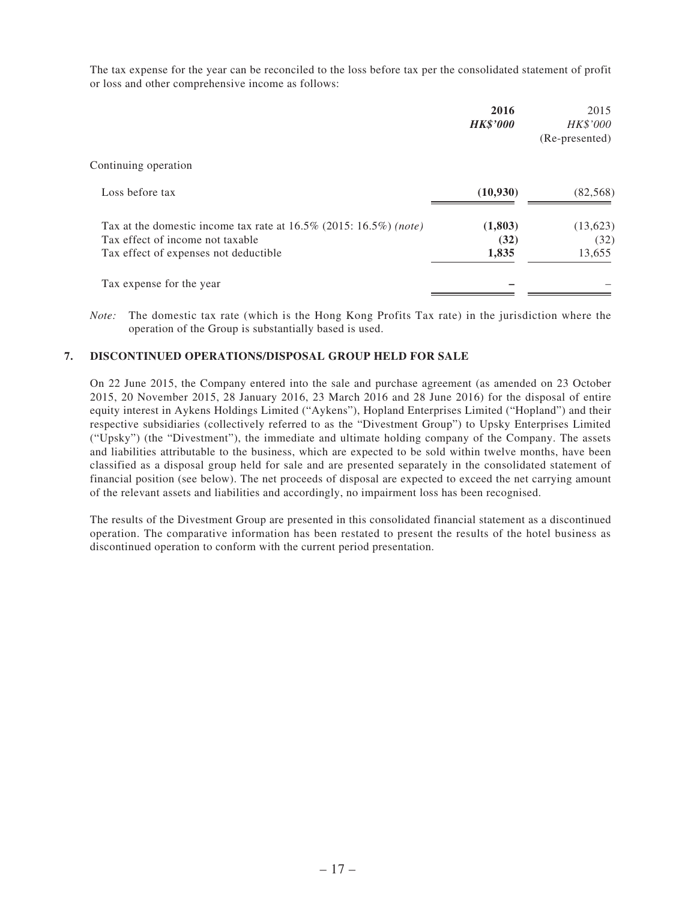The tax expense for the year can be reconciled to the loss before tax per the consolidated statement of profit or loss and other comprehensive income as follows:

|                                                                                                          | 2016<br><b>HK\$'000</b> | 2015<br><b>HK\$'000</b><br>(Re-presented) |
|----------------------------------------------------------------------------------------------------------|-------------------------|-------------------------------------------|
| Continuing operation                                                                                     |                         |                                           |
| Loss before tax                                                                                          | (10,930)                | (82, 568)                                 |
| Tax at the domestic income tax rate at $16.5\%$ (2015: 16.5%) (note)<br>Tax effect of income not taxable | (1,803)<br>(32)         | (13,623)<br>(32)                          |
| Tax effect of expenses not deductible                                                                    | 1,835                   | 13,655                                    |
| Tax expense for the year                                                                                 |                         |                                           |

*Note:* The domestic tax rate (which is the Hong Kong Profits Tax rate) in the jurisdiction where the operation of the Group is substantially based is used.

#### **7. DISCONTINUED OPERATIONS/DISPOSAL GROUP HELD FOR SALE**

On 22 June 2015, the Company entered into the sale and purchase agreement (as amended on 23 October 2015, 20 November 2015, 28 January 2016, 23 March 2016 and 28 June 2016) for the disposal of entire equity interest in Aykens Holdings Limited ("Aykens"), Hopland Enterprises Limited ("Hopland") and their respective subsidiaries (collectively referred to as the "Divestment Group") to Upsky Enterprises Limited ("Upsky") (the "Divestment"), the immediate and ultimate holding company of the Company. The assets and liabilities attributable to the business, which are expected to be sold within twelve months, have been classified as a disposal group held for sale and are presented separately in the consolidated statement of financial position (see below). The net proceeds of disposal are expected to exceed the net carrying amount of the relevant assets and liabilities and accordingly, no impairment loss has been recognised.

The results of the Divestment Group are presented in this consolidated financial statement as a discontinued operation. The comparative information has been restated to present the results of the hotel business as discontinued operation to conform with the current period presentation.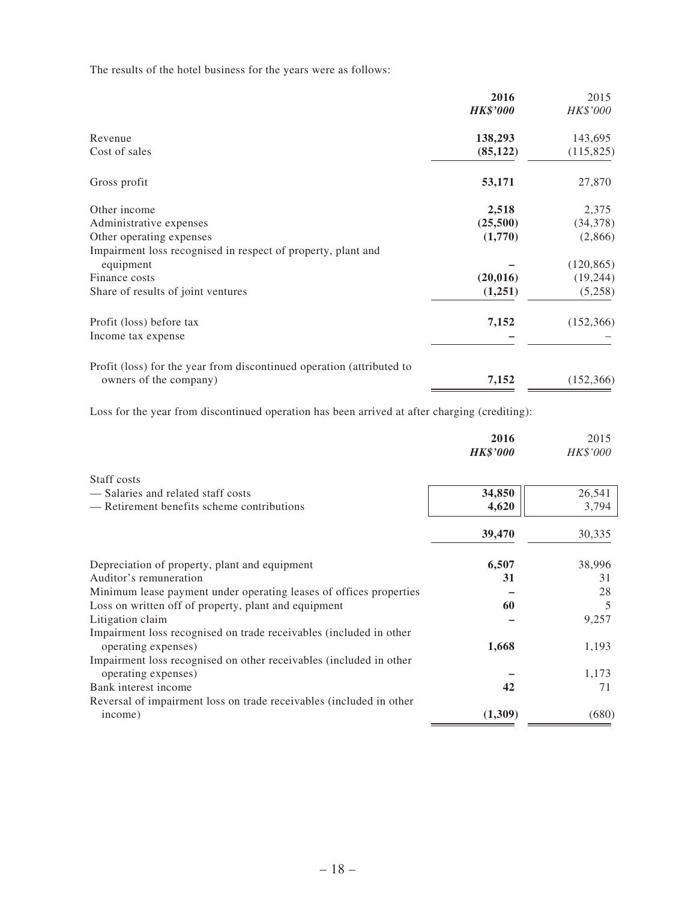The results of the hotel business for the years were as follows:

|                                                                       | 2016            | 2015       |
|-----------------------------------------------------------------------|-----------------|------------|
|                                                                       | <b>HK\$'000</b> | HK\$'000   |
| Revenue                                                               | 138,293         | 143,695    |
| Cost of sales                                                         | (85, 122)       | (115,825)  |
| Gross profit                                                          | 53,171          | 27,870     |
| Other income                                                          | 2,518           | 2,375      |
| Administrative expenses                                               | (25,500)        | (34,378)   |
| Other operating expenses                                              | (1,770)         | (2,866)    |
| Impairment loss recognised in respect of property, plant and          |                 |            |
| equipment                                                             |                 | (120, 865) |
| Finance costs                                                         | (20, 016)       | (19, 244)  |
| Share of results of joint ventures                                    | (1,251)         | (5,258)    |
| Profit (loss) before tax                                              | 7,152           | (152, 366) |
| Income tax expense                                                    |                 |            |
| Profit (loss) for the year from discontinued operation (attributed to |                 |            |
| owners of the company)                                                | 7,152           | (152, 366) |

Loss for the year from discontinued operation has been arrived at after charging (crediting):

|                                                                     | 2016            | 2015     |
|---------------------------------------------------------------------|-----------------|----------|
|                                                                     | <b>HK\$'000</b> | HK\$'000 |
| Staff costs                                                         |                 |          |
| - Salaries and related staff costs                                  | 34,850          | 26,541   |
| — Retirement benefits scheme contributions                          | 4,620           | 3,794    |
|                                                                     | 39,470          | 30,335   |
| Depreciation of property, plant and equipment                       | 6,507           | 38,996   |
| Auditor's remuneration                                              | 31              | 31       |
| Minimum lease payment under operating leases of offices properties  |                 | 28       |
| Loss on written off of property, plant and equipment                | 60              | 5        |
| Litigation claim                                                    |                 | 9,257    |
| Impairment loss recognised on trade receivables (included in other  |                 |          |
| operating expenses)                                                 | 1,668           | 1,193    |
| Impairment loss recognised on other receivables (included in other  |                 |          |
| operating expenses)                                                 |                 | 1,173    |
| Bank interest income                                                | 42              | 71       |
| Reversal of impairment loss on trade receivables (included in other |                 |          |
| income)                                                             | (1,309)         | (680)    |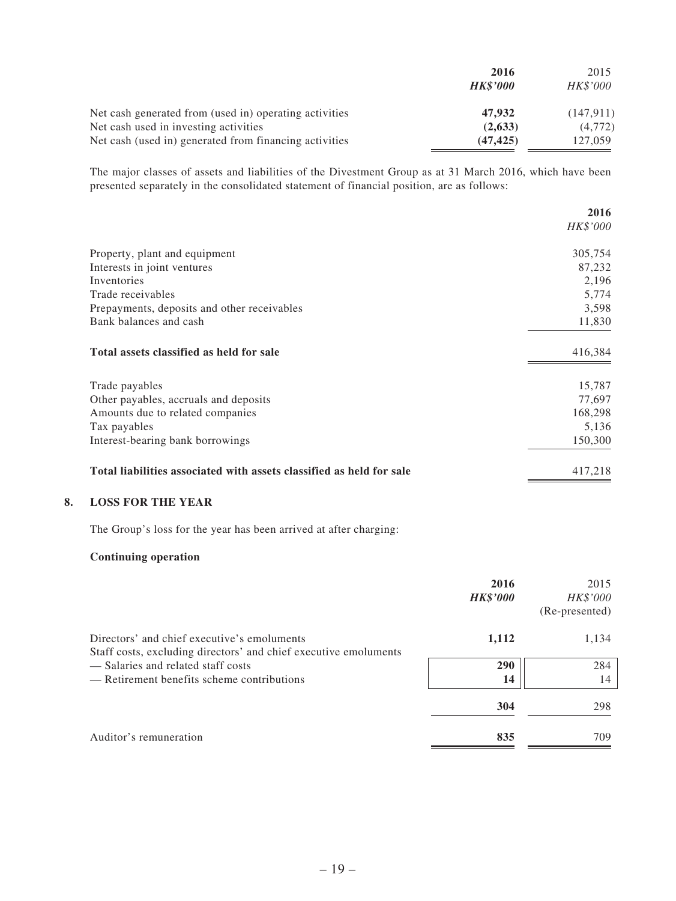|                                                        | 2016<br><b>HK\$'000</b> | 2015<br>HK\$'000 |
|--------------------------------------------------------|-------------------------|------------------|
| Net cash generated from (used in) operating activities | 47,932                  | (147, 911)       |
| Net cash used in investing activities                  | (2,633)                 | (4,772)          |
| Net cash (used in) generated from financing activities | (47, 425)               | 127,059          |

The major classes of assets and liabilities of the Divestment Group as at 31 March 2016, which have been presented separately in the consolidated statement of financial position, are as follows:

|                                                                      | 2016<br>HK\$'000 |
|----------------------------------------------------------------------|------------------|
| Property, plant and equipment                                        | 305,754          |
| Interests in joint ventures                                          | 87,232           |
| Inventories                                                          | 2,196            |
| Trade receivables                                                    | 5,774            |
| Prepayments, deposits and other receivables                          | 3,598            |
| Bank balances and cash                                               | 11,830           |
| Total assets classified as held for sale                             | 416,384          |
| Trade payables                                                       | 15,787           |
| Other payables, accruals and deposits                                | 77,697           |
| Amounts due to related companies                                     | 168,298          |
| Tax payables                                                         | 5,136            |
| Interest-bearing bank borrowings                                     | 150,300          |
| Total liabilities associated with assets classified as held for sale | 417,218          |

#### **8. LOSS FOR THE YEAR**

The Group's loss for the year has been arrived at after charging:

#### **Continuing operation**

|                                                                                                                 | 2016<br><b>HK\$'000</b> | 2015<br>HK\$'000<br>(Re-presented) |
|-----------------------------------------------------------------------------------------------------------------|-------------------------|------------------------------------|
| Directors' and chief executive's emoluments<br>Staff costs, excluding directors' and chief executive emoluments | 1,112                   | 1,134                              |
| - Salaries and related staff costs<br>— Retirement benefits scheme contributions                                | 290<br>14               | 284<br>14                          |
|                                                                                                                 | 304                     | 298                                |
| Auditor's remuneration                                                                                          | 835                     | 709                                |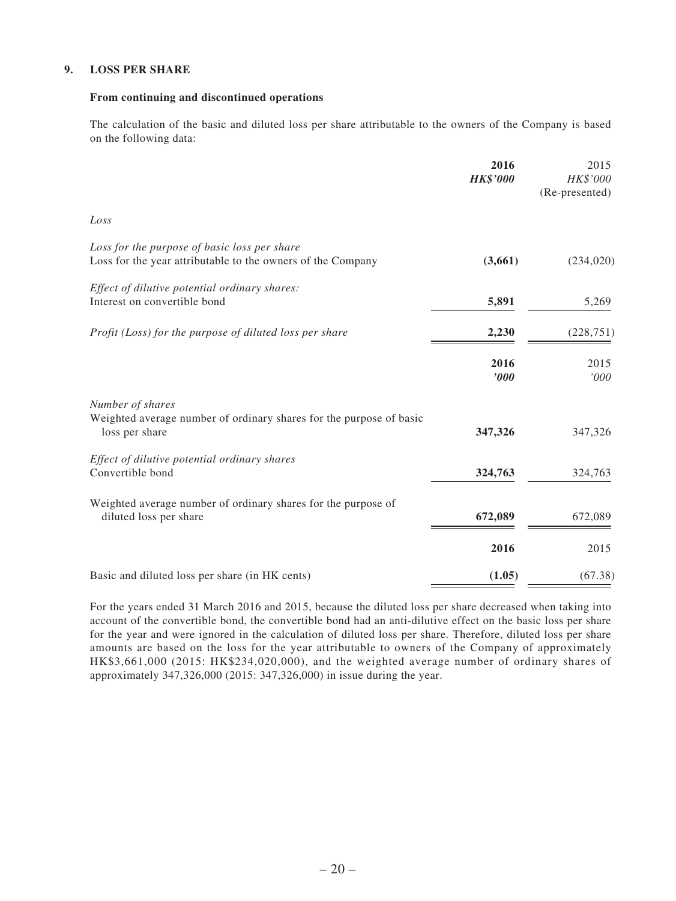#### **9. LOSS PER SHARE**

#### **From continuing and discontinued operations**

The calculation of the basic and diluted loss per share attributable to the owners of the Company is based on the following data:

|                                                                                                             | 2016<br><b>HK\$'000</b> | 2015<br>HK\$'000<br>(Re-presented) |
|-------------------------------------------------------------------------------------------------------------|-------------------------|------------------------------------|
| Loss                                                                                                        |                         |                                    |
| Loss for the purpose of basic loss per share<br>Loss for the year attributable to the owners of the Company | (3,661)                 | (234, 020)                         |
| Effect of dilutive potential ordinary shares:<br>Interest on convertible bond                               | 5,891                   | 5,269                              |
| Profit (Loss) for the purpose of diluted loss per share                                                     | 2,230                   | (228, 751)                         |
|                                                                                                             | 2016<br>$\bm{v}$        | 2015<br>'000                       |
| Number of shares<br>Weighted average number of ordinary shares for the purpose of basic<br>loss per share   | 347,326                 | 347,326                            |
| Effect of dilutive potential ordinary shares<br>Convertible bond                                            | 324,763                 | 324,763                            |
| Weighted average number of ordinary shares for the purpose of<br>diluted loss per share                     | 672,089                 | 672,089                            |
|                                                                                                             | 2016                    | 2015                               |
| Basic and diluted loss per share (in HK cents)                                                              | (1.05)                  | (67.38)                            |

For the years ended 31 March 2016 and 2015, because the diluted loss per share decreased when taking into account of the convertible bond, the convertible bond had an anti-dilutive effect on the basic loss per share for the year and were ignored in the calculation of diluted loss per share. Therefore, diluted loss per share amounts are based on the loss for the year attributable to owners of the Company of approximately HK\$3,661,000 (2015: HK\$234,020,000), and the weighted average number of ordinary shares of approximately 347,326,000 (2015: 347,326,000) in issue during the year.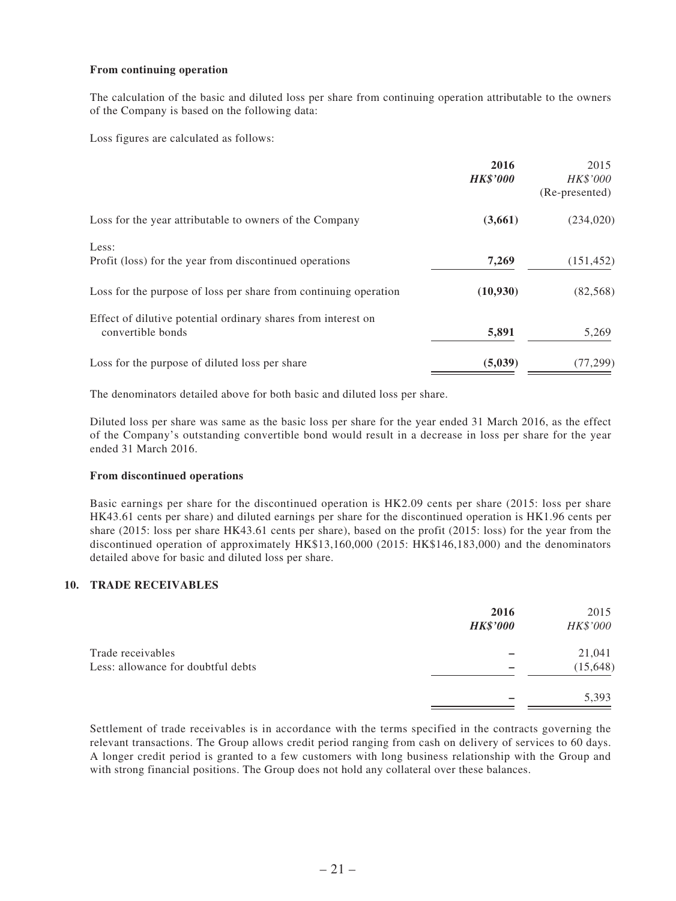#### **From continuing operation**

The calculation of the basic and diluted loss per share from continuing operation attributable to the owners of the Company is based on the following data:

Loss figures are calculated as follows:

|                                                                                    | 2016<br><b>HK\$'000</b> | 2015<br>HK\$'000<br>(Re-presented) |
|------------------------------------------------------------------------------------|-------------------------|------------------------------------|
| Loss for the year attributable to owners of the Company                            | (3,661)                 | (234, 020)                         |
| Less:<br>Profit (loss) for the year from discontinued operations                   | 7,269                   | (151, 452)                         |
| Loss for the purpose of loss per share from continuing operation                   | (10,930)                | (82, 568)                          |
| Effect of dilutive potential ordinary shares from interest on<br>convertible bonds | 5,891                   | 5,269                              |
| Loss for the purpose of diluted loss per share                                     | (5,039)                 | (77, 299)                          |

The denominators detailed above for both basic and diluted loss per share.

Diluted loss per share was same as the basic loss per share for the year ended 31 March 2016, as the effect of the Company's outstanding convertible bond would result in a decrease in loss per share for the year ended 31 March 2016.

#### **From discontinued operations**

Basic earnings per share for the discontinued operation is HK2.09 cents per share (2015: loss per share HK43.61 cents per share) and diluted earnings per share for the discontinued operation is HK1.96 cents per share (2015: loss per share HK43.61 cents per share), based on the profit (2015: loss) for the year from the discontinued operation of approximately HK\$13,160,000 (2015: HK\$146,183,000) and the denominators detailed above for basic and diluted loss per share.

#### **10. TRADE RECEIVABLES**

|                                    | 2016<br><b>HK\$'000</b> | 2015<br>HK\$'000 |
|------------------------------------|-------------------------|------------------|
| Trade receivables                  |                         | 21,041           |
| Less: allowance for doubtful debts |                         | (15, 648)        |
|                                    |                         | 5,393            |

Settlement of trade receivables is in accordance with the terms specified in the contracts governing the relevant transactions. The Group allows credit period ranging from cash on delivery of services to 60 days. A longer credit period is granted to a few customers with long business relationship with the Group and with strong financial positions. The Group does not hold any collateral over these balances.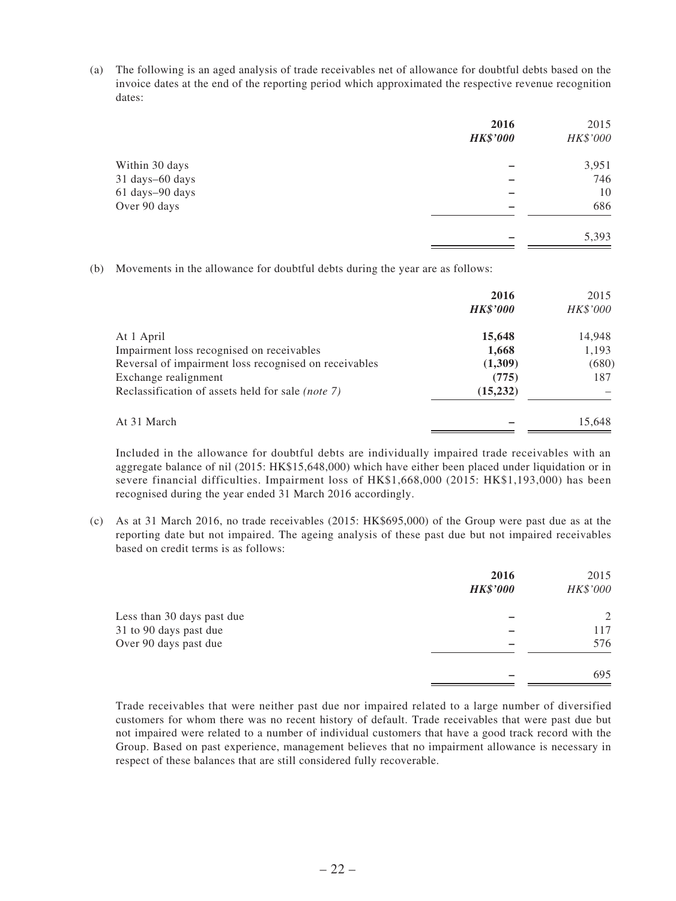(a) The following is an aged analysis of trade receivables net of allowance for doubtful debts based on the invoice dates at the end of the reporting period which approximated the respective revenue recognition dates:

|                 | 2016<br><b>HK\$'000</b> | 2015<br>HK\$'000 |
|-----------------|-------------------------|------------------|
| Within 30 days  |                         | 3,951            |
| 31 days-60 days |                         | 746              |
| 61 days-90 days |                         | 10               |
| Over 90 days    |                         | 686              |
|                 |                         | 5,393            |

(b) Movements in the allowance for doubtful debts during the year are as follows:

|                                                          | 2016<br><b>HK\$'000</b> | 2015<br>HK\$'000 |
|----------------------------------------------------------|-------------------------|------------------|
| At 1 April                                               | 15,648                  | 14,948           |
| Impairment loss recognised on receivables                | 1,668                   | 1,193            |
| Reversal of impairment loss recognised on receivables    | (1,309)                 | (680)            |
| Exchange realignment                                     | (775)                   | 187              |
| Reclassification of assets held for sale <i>(note 7)</i> | (15, 232)               |                  |
| At 31 March                                              |                         | 15,648           |

Included in the allowance for doubtful debts are individually impaired trade receivables with an aggregate balance of nil (2015: HK\$15,648,000) which have either been placed under liquidation or in severe financial difficulties. Impairment loss of HK\$1,668,000 (2015: HK\$1,193,000) has been recognised during the year ended 31 March 2016 accordingly.

(c) As at 31 March 2016, no trade receivables (2015: HK\$695,000) of the Group were past due as at the reporting date but not impaired. The ageing analysis of these past due but not impaired receivables based on credit terms is as follows:

|                            | 2016<br><b>HK\$'000</b> | 2015<br>HK\$'000 |
|----------------------------|-------------------------|------------------|
| Less than 30 days past due |                         | 2                |
| 31 to 90 days past due     |                         | 117              |
| Over 90 days past due      |                         | 576              |
|                            |                         | 695              |

Trade receivables that were neither past due nor impaired related to a large number of diversified customers for whom there was no recent history of default. Trade receivables that were past due but not impaired were related to a number of individual customers that have a good track record with the Group. Based on past experience, management believes that no impairment allowance is necessary in respect of these balances that are still considered fully recoverable.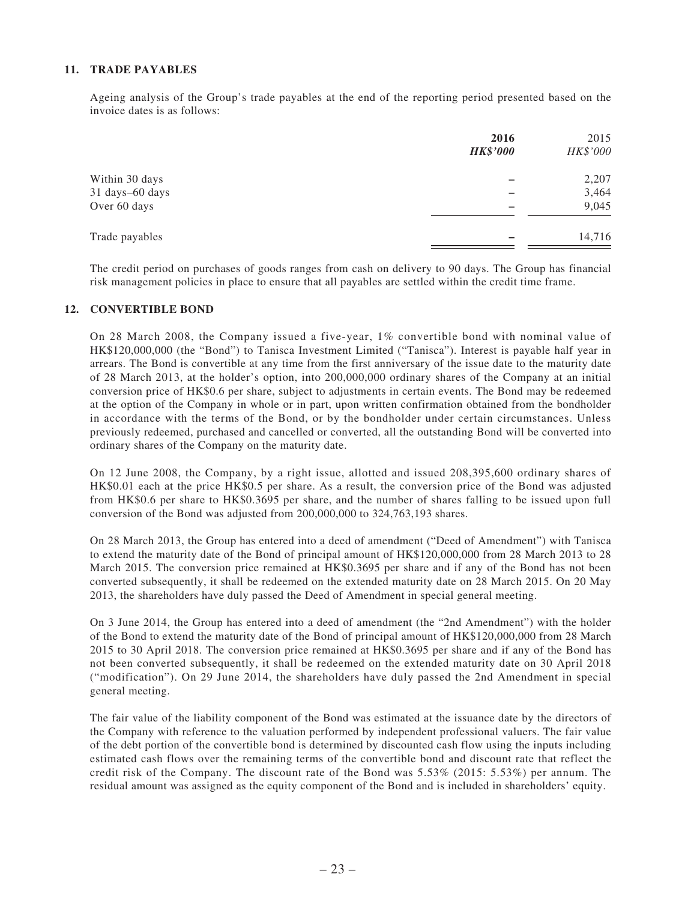#### **11. TRADE PAYABLES**

Ageing analysis of the Group's trade payables at the end of the reporting period presented based on the invoice dates is as follows:

|                 | 2016<br><b>HK\$'000</b> | 2015<br>HK\$'000 |
|-----------------|-------------------------|------------------|
| Within 30 days  |                         | 2,207            |
| 31 days-60 days |                         | 3,464            |
| Over 60 days    |                         | 9,045            |
| Trade payables  |                         | 14,716           |

The credit period on purchases of goods ranges from cash on delivery to 90 days. The Group has financial risk management policies in place to ensure that all payables are settled within the credit time frame.

#### **12. CONVERTIBLE BOND**

On 28 March 2008, the Company issued a five-year, 1% convertible bond with nominal value of HK\$120,000,000 (the "Bond") to Tanisca Investment Limited ("Tanisca"). Interest is payable half year in arrears. The Bond is convertible at any time from the first anniversary of the issue date to the maturity date of 28 March 2013, at the holder's option, into 200,000,000 ordinary shares of the Company at an initial conversion price of HK\$0.6 per share, subject to adjustments in certain events. The Bond may be redeemed at the option of the Company in whole or in part, upon written confirmation obtained from the bondholder in accordance with the terms of the Bond, or by the bondholder under certain circumstances. Unless previously redeemed, purchased and cancelled or converted, all the outstanding Bond will be converted into ordinary shares of the Company on the maturity date.

On 12 June 2008, the Company, by a right issue, allotted and issued 208,395,600 ordinary shares of HK\$0.01 each at the price HK\$0.5 per share. As a result, the conversion price of the Bond was adjusted from HK\$0.6 per share to HK\$0.3695 per share, and the number of shares falling to be issued upon full conversion of the Bond was adjusted from 200,000,000 to 324,763,193 shares.

On 28 March 2013, the Group has entered into a deed of amendment ("Deed of Amendment") with Tanisca to extend the maturity date of the Bond of principal amount of HK\$120,000,000 from 28 March 2013 to 28 March 2015. The conversion price remained at HK\$0.3695 per share and if any of the Bond has not been converted subsequently, it shall be redeemed on the extended maturity date on 28 March 2015. On 20 May 2013, the shareholders have duly passed the Deed of Amendment in special general meeting.

On 3 June 2014, the Group has entered into a deed of amendment (the "2nd Amendment") with the holder of the Bond to extend the maturity date of the Bond of principal amount of HK\$120,000,000 from 28 March 2015 to 30 April 2018. The conversion price remained at HK\$0.3695 per share and if any of the Bond has not been converted subsequently, it shall be redeemed on the extended maturity date on 30 April 2018 ("modification"). On 29 June 2014, the shareholders have duly passed the 2nd Amendment in special general meeting.

The fair value of the liability component of the Bond was estimated at the issuance date by the directors of the Company with reference to the valuation performed by independent professional valuers. The fair value of the debt portion of the convertible bond is determined by discounted cash flow using the inputs including estimated cash flows over the remaining terms of the convertible bond and discount rate that reflect the credit risk of the Company. The discount rate of the Bond was 5.53% (2015: 5.53%) per annum. The residual amount was assigned as the equity component of the Bond and is included in shareholders' equity.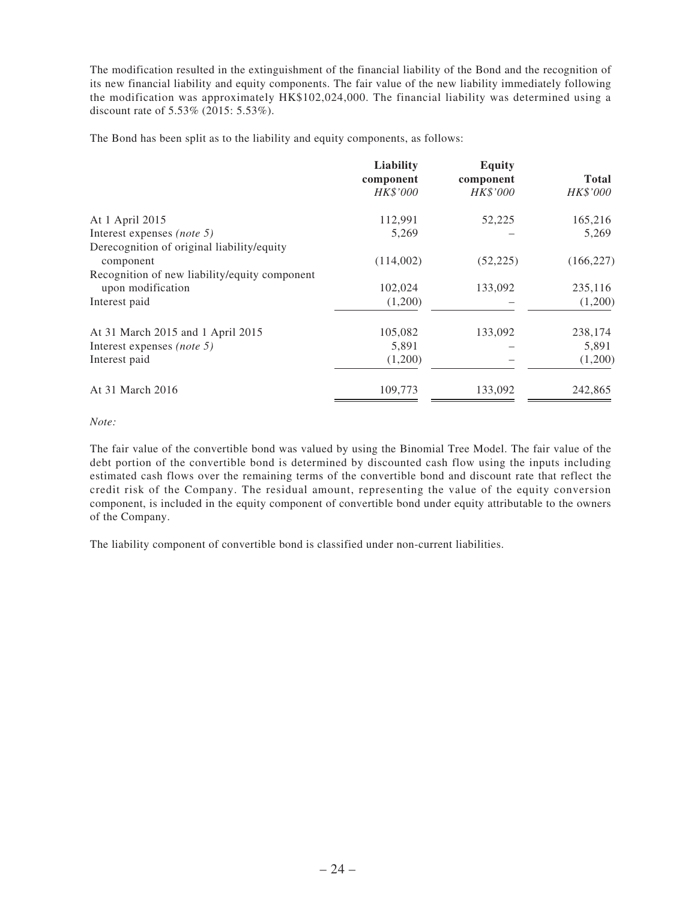The modification resulted in the extinguishment of the financial liability of the Bond and the recognition of its new financial liability and equity components. The fair value of the new liability immediately following the modification was approximately HK\$102,024,000. The financial liability was determined using a discount rate of 5.53% (2015: 5.53%).

The Bond has been split as to the liability and equity components, as follows:

|                                               | Liability<br>component<br>HK\$'000 | <b>Equity</b><br>component<br><b>HK\$'000</b> | <b>Total</b><br>HK\$'000 |
|-----------------------------------------------|------------------------------------|-----------------------------------------------|--------------------------|
|                                               |                                    |                                               |                          |
|                                               |                                    |                                               |                          |
| At 1 April 2015                               | 112,991                            | 52,225                                        | 165,216                  |
| Interest expenses (note 5)                    | 5,269                              |                                               | 5,269                    |
| Derecognition of original liability/equity    |                                    |                                               |                          |
| component                                     | (114,002)                          | (52, 225)                                     | (166, 227)               |
| Recognition of new liability/equity component |                                    |                                               |                          |
| upon modification                             | 102,024                            | 133,092                                       | 235,116                  |
| Interest paid                                 | (1,200)                            |                                               | (1,200)                  |
| At 31 March 2015 and 1 April 2015             | 105,082                            | 133,092                                       | 238,174                  |
| Interest expenses (note 5)                    | 5,891                              |                                               | 5,891                    |
| Interest paid                                 | (1,200)                            |                                               | (1,200)                  |
| At 31 March 2016                              | 109,773                            | 133,092                                       | 242,865                  |

*Note:*

The fair value of the convertible bond was valued by using the Binomial Tree Model. The fair value of the debt portion of the convertible bond is determined by discounted cash flow using the inputs including estimated cash flows over the remaining terms of the convertible bond and discount rate that reflect the credit risk of the Company. The residual amount, representing the value of the equity conversion component, is included in the equity component of convertible bond under equity attributable to the owners of the Company.

The liability component of convertible bond is classified under non-current liabilities.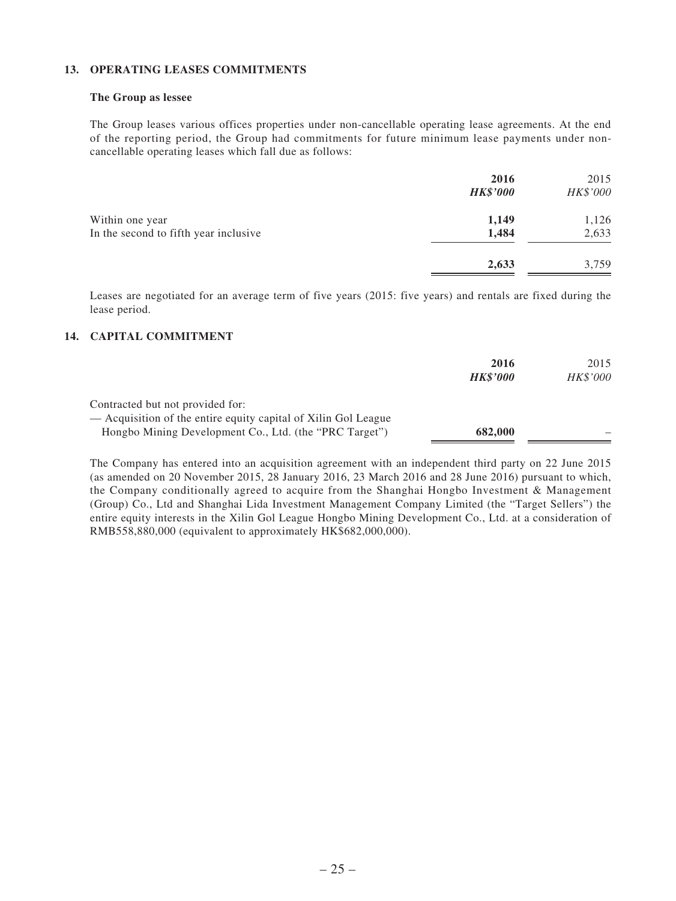#### **13. OPERATING LEASES COMMITMENTS**

#### **The Group as lessee**

The Group leases various offices properties under non-cancellable operating lease agreements. At the end of the reporting period, the Group had commitments for future minimum lease payments under noncancellable operating leases which fall due as follows:

|                                       | 2016<br><b>HK\$'000</b> | 2015<br>HK\$'000 |
|---------------------------------------|-------------------------|------------------|
| Within one year                       | 1,149                   | 1,126            |
| In the second to fifth year inclusive | 1,484                   | 2,633            |
|                                       | 2,633                   | 3,759            |

Leases are negotiated for an average term of five years (2015: five years) and rentals are fixed during the lease period.

#### **14. CAPITAL COMMITMENT**

|                                                                                                    | 2016<br><b>HK\$'000</b> | 2015<br><b>HK\$'000</b> |
|----------------------------------------------------------------------------------------------------|-------------------------|-------------------------|
| Contracted but not provided for:<br>— Acquisition of the entire equity capital of Xilin Gol League |                         |                         |
| Hongbo Mining Development Co., Ltd. (the "PRC Target")                                             | 682,000                 |                         |

The Company has entered into an acquisition agreement with an independent third party on 22 June 2015 (as amended on 20 November 2015, 28 January 2016, 23 March 2016 and 28 June 2016) pursuant to which, the Company conditionally agreed to acquire from the Shanghai Hongbo Investment & Management (Group) Co., Ltd and Shanghai Lida Investment Management Company Limited (the "Target Sellers") the entire equity interests in the Xilin Gol League Hongbo Mining Development Co., Ltd. at a consideration of RMB558,880,000 (equivalent to approximately HK\$682,000,000).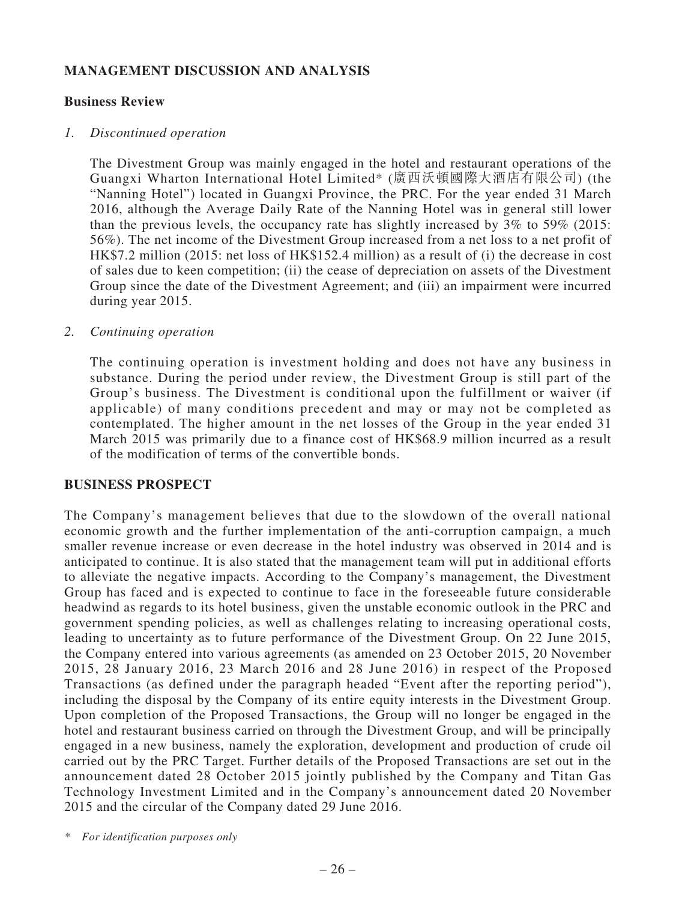# **MANAGEMENT DISCUSSION AND ANALYSIS**

### **Business Review**

### *1. Discontinued operation*

The Divestment Group was mainly engaged in the hotel and restaurant operations of the Guangxi Wharton International Hotel Limited\* (廣西沃頓國際大酒店有限公司) (the "Nanning Hotel") located in Guangxi Province, the PRC. For the year ended 31 March 2016, although the Average Daily Rate of the Nanning Hotel was in general still lower than the previous levels, the occupancy rate has slightly increased by 3% to 59% (2015: 56%). The net income of the Divestment Group increased from a net loss to a net profit of HK\$7.2 million (2015: net loss of HK\$152.4 million) as a result of (i) the decrease in cost of sales due to keen competition; (ii) the cease of depreciation on assets of the Divestment Group since the date of the Divestment Agreement; and (iii) an impairment were incurred during year 2015.

### *2. Continuing operation*

The continuing operation is investment holding and does not have any business in substance. During the period under review, the Divestment Group is still part of the Group's business. The Divestment is conditional upon the fulfillment or waiver (if applicable) of many conditions precedent and may or may not be completed as contemplated. The higher amount in the net losses of the Group in the year ended 31 March 2015 was primarily due to a finance cost of HK\$68.9 million incurred as a result of the modification of terms of the convertible bonds.

# **BUSINESS PROSPECT**

The Company's management believes that due to the slowdown of the overall national economic growth and the further implementation of the anti-corruption campaign, a much smaller revenue increase or even decrease in the hotel industry was observed in 2014 and is anticipated to continue. It is also stated that the management team will put in additional efforts to alleviate the negative impacts. According to the Company's management, the Divestment Group has faced and is expected to continue to face in the foreseeable future considerable headwind as regards to its hotel business, given the unstable economic outlook in the PRC and government spending policies, as well as challenges relating to increasing operational costs, leading to uncertainty as to future performance of the Divestment Group. On 22 June 2015, the Company entered into various agreements (as amended on 23 October 2015, 20 November 2015, 28 January 2016, 23 March 2016 and 28 June 2016) in respect of the Proposed Transactions (as defined under the paragraph headed "Event after the reporting period"), including the disposal by the Company of its entire equity interests in the Divestment Group. Upon completion of the Proposed Transactions, the Group will no longer be engaged in the hotel and restaurant business carried on through the Divestment Group, and will be principally engaged in a new business, namely the exploration, development and production of crude oil carried out by the PRC Target. Further details of the Proposed Transactions are set out in the announcement dated 28 October 2015 jointly published by the Company and Titan Gas Technology Investment Limited and in the Company's announcement dated 20 November 2015 and the circular of the Company dated 29 June 2016.

*\* For identification purposes only*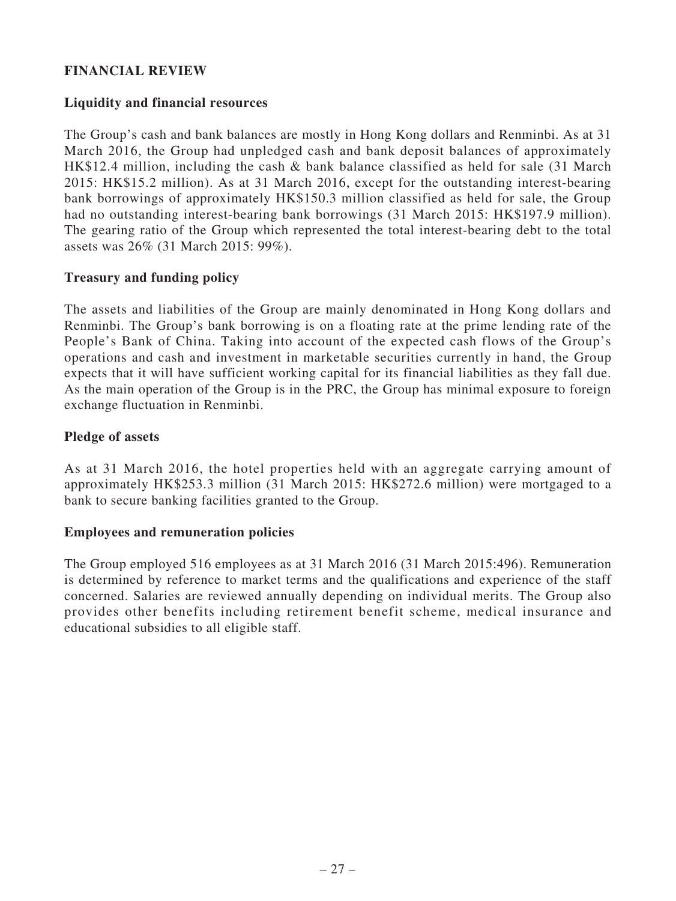# **FINANCIAL REVIEW**

# **Liquidity and financial resources**

The Group's cash and bank balances are mostly in Hong Kong dollars and Renminbi. As at 31 March 2016, the Group had unpledged cash and bank deposit balances of approximately HK\$12.4 million, including the cash & bank balance classified as held for sale (31 March 2015: HK\$15.2 million). As at 31 March 2016, except for the outstanding interest-bearing bank borrowings of approximately HK\$150.3 million classified as held for sale, the Group had no outstanding interest-bearing bank borrowings (31 March 2015: HK\$197.9 million). The gearing ratio of the Group which represented the total interest-bearing debt to the total assets was 26% (31 March 2015: 99%).

# **Treasury and funding policy**

The assets and liabilities of the Group are mainly denominated in Hong Kong dollars and Renminbi. The Group's bank borrowing is on a floating rate at the prime lending rate of the People's Bank of China. Taking into account of the expected cash flows of the Group's operations and cash and investment in marketable securities currently in hand, the Group expects that it will have sufficient working capital for its financial liabilities as they fall due. As the main operation of the Group is in the PRC, the Group has minimal exposure to foreign exchange fluctuation in Renminbi.

### **Pledge of assets**

As at 31 March 2016, the hotel properties held with an aggregate carrying amount of approximately HK\$253.3 million (31 March 2015: HK\$272.6 million) were mortgaged to a bank to secure banking facilities granted to the Group.

### **Employees and remuneration policies**

The Group employed 516 employees as at 31 March 2016 (31 March 2015:496). Remuneration is determined by reference to market terms and the qualifications and experience of the staff concerned. Salaries are reviewed annually depending on individual merits. The Group also provides other benefits including retirement benefit scheme, medical insurance and educational subsidies to all eligible staff.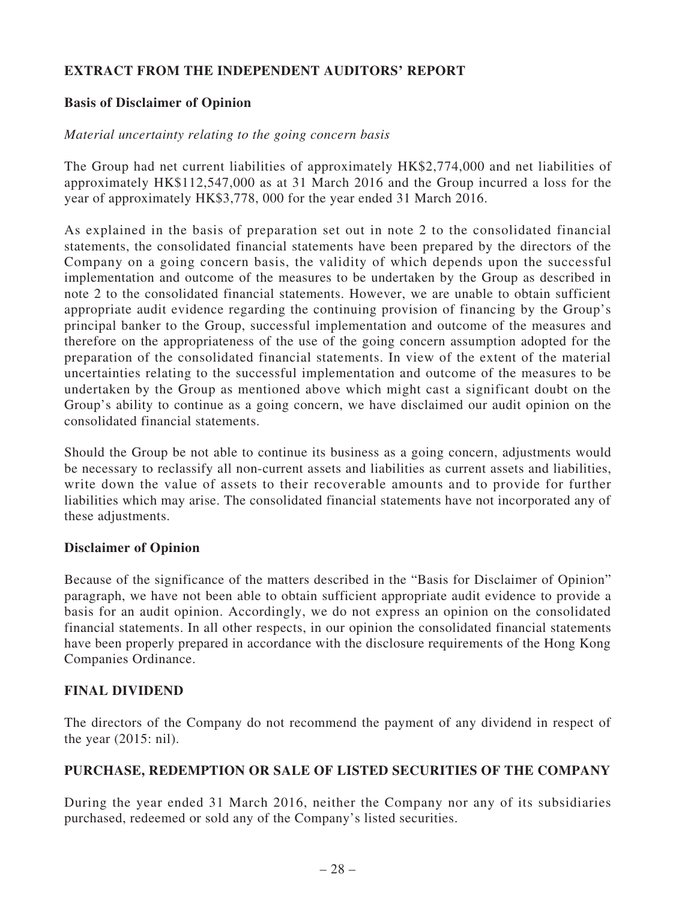# **EXTRACT FROM THE INDEPENDENT AUDITORS' REPORT**

# **Basis of Disclaimer of Opinion**

### *Material uncertainty relating to the going concern basis*

The Group had net current liabilities of approximately HK\$2,774,000 and net liabilities of approximately HK\$112,547,000 as at 31 March 2016 and the Group incurred a loss for the year of approximately HK\$3,778, 000 for the year ended 31 March 2016.

As explained in the basis of preparation set out in note 2 to the consolidated financial statements, the consolidated financial statements have been prepared by the directors of the Company on a going concern basis, the validity of which depends upon the successful implementation and outcome of the measures to be undertaken by the Group as described in note 2 to the consolidated financial statements. However, we are unable to obtain sufficient appropriate audit evidence regarding the continuing provision of financing by the Group's principal banker to the Group, successful implementation and outcome of the measures and therefore on the appropriateness of the use of the going concern assumption adopted for the preparation of the consolidated financial statements. In view of the extent of the material uncertainties relating to the successful implementation and outcome of the measures to be undertaken by the Group as mentioned above which might cast a significant doubt on the Group's ability to continue as a going concern, we have disclaimed our audit opinion on the consolidated financial statements.

Should the Group be not able to continue its business as a going concern, adjustments would be necessary to reclassify all non-current assets and liabilities as current assets and liabilities, write down the value of assets to their recoverable amounts and to provide for further liabilities which may arise. The consolidated financial statements have not incorporated any of these adjustments.

### **Disclaimer of Opinion**

Because of the significance of the matters described in the "Basis for Disclaimer of Opinion" paragraph, we have not been able to obtain sufficient appropriate audit evidence to provide a basis for an audit opinion. Accordingly, we do not express an opinion on the consolidated financial statements. In all other respects, in our opinion the consolidated financial statements have been properly prepared in accordance with the disclosure requirements of the Hong Kong Companies Ordinance.

### **FINAL DIVIDEND**

The directors of the Company do not recommend the payment of any dividend in respect of the year (2015: nil).

### **PURCHASE, REDEMPTION OR SALE OF LISTED SECURITIES OF THE COMPANY**

During the year ended 31 March 2016, neither the Company nor any of its subsidiaries purchased, redeemed or sold any of the Company's listed securities.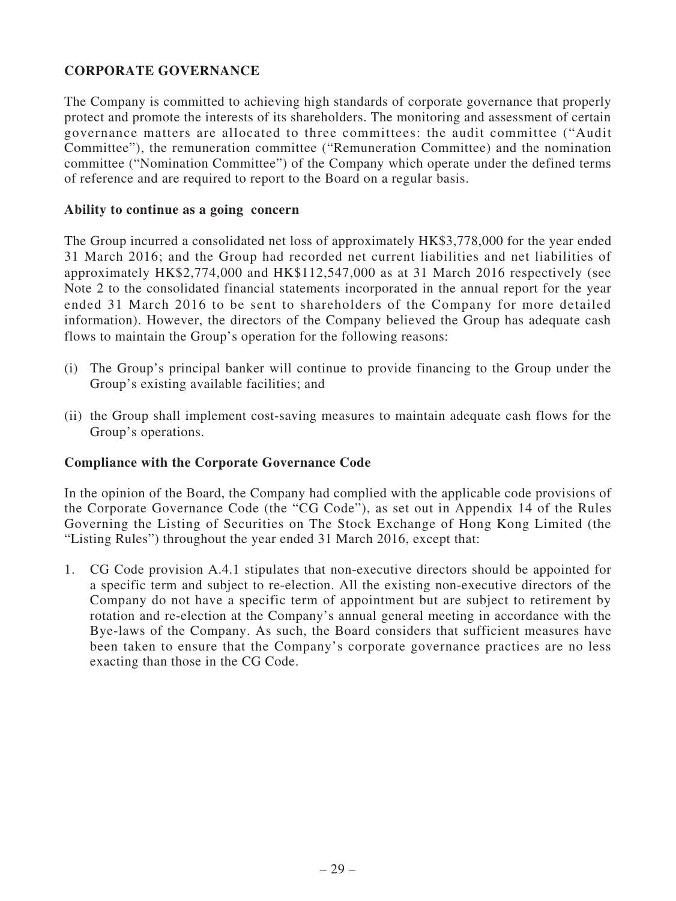# **CORPORATE GOVERNANCE**

The Company is committed to achieving high standards of corporate governance that properly protect and promote the interests of its shareholders. The monitoring and assessment of certain governance matters are allocated to three committees: the audit committee ("Audit Committee"), the remuneration committee ("Remuneration Committee) and the nomination committee ("Nomination Committee") of the Company which operate under the defined terms of reference and are required to report to the Board on a regular basis.

### **Ability to continue as a going concern**

The Group incurred a consolidated net loss of approximately HK\$3,778,000 for the year ended 31 March 2016; and the Group had recorded net current liabilities and net liabilities of approximately HK\$2,774,000 and HK\$112,547,000 as at 31 March 2016 respectively (see Note 2 to the consolidated financial statements incorporated in the annual report for the year ended 31 March 2016 to be sent to shareholders of the Company for more detailed information). However, the directors of the Company believed the Group has adequate cash flows to maintain the Group's operation for the following reasons:

- (i) The Group's principal banker will continue to provide financing to the Group under the Group's existing available facilities; and
- (ii) the Group shall implement cost-saving measures to maintain adequate cash flows for the Group's operations.

### **Compliance with the Corporate Governance Code**

In the opinion of the Board, the Company had complied with the applicable code provisions of the Corporate Governance Code (the "CG Code"), as set out in Appendix 14 of the Rules Governing the Listing of Securities on The Stock Exchange of Hong Kong Limited (the "Listing Rules") throughout the year ended 31 March 2016, except that:

1. CG Code provision A.4.1 stipulates that non-executive directors should be appointed for a specific term and subject to re-election. All the existing non-executive directors of the Company do not have a specific term of appointment but are subject to retirement by rotation and re-election at the Company's annual general meeting in accordance with the Bye-laws of the Company. As such, the Board considers that sufficient measures have been taken to ensure that the Company's corporate governance practices are no less exacting than those in the CG Code.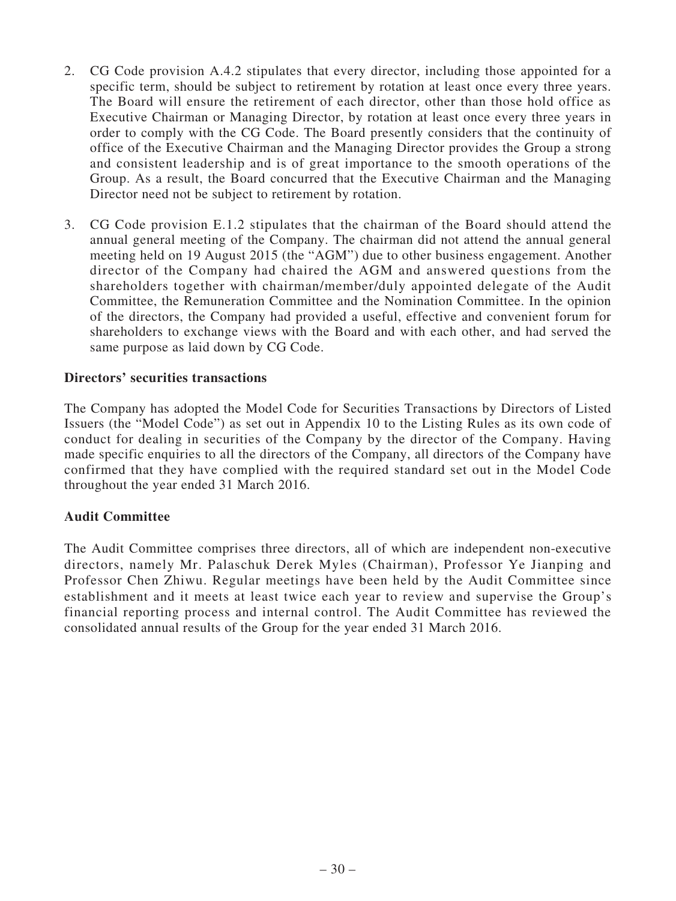- 2. CG Code provision A.4.2 stipulates that every director, including those appointed for a specific term, should be subject to retirement by rotation at least once every three years. The Board will ensure the retirement of each director, other than those hold office as Executive Chairman or Managing Director, by rotation at least once every three years in order to comply with the CG Code. The Board presently considers that the continuity of office of the Executive Chairman and the Managing Director provides the Group a strong and consistent leadership and is of great importance to the smooth operations of the Group. As a result, the Board concurred that the Executive Chairman and the Managing Director need not be subject to retirement by rotation.
- 3. CG Code provision E.1.2 stipulates that the chairman of the Board should attend the annual general meeting of the Company. The chairman did not attend the annual general meeting held on 19 August 2015 (the "AGM") due to other business engagement. Another director of the Company had chaired the AGM and answered questions from the shareholders together with chairman/member/duly appointed delegate of the Audit Committee, the Remuneration Committee and the Nomination Committee. In the opinion of the directors, the Company had provided a useful, effective and convenient forum for shareholders to exchange views with the Board and with each other, and had served the same purpose as laid down by CG Code.

### **Directors' securities transactions**

The Company has adopted the Model Code for Securities Transactions by Directors of Listed Issuers (the "Model Code") as set out in Appendix 10 to the Listing Rules as its own code of conduct for dealing in securities of the Company by the director of the Company. Having made specific enquiries to all the directors of the Company, all directors of the Company have confirmed that they have complied with the required standard set out in the Model Code throughout the year ended 31 March 2016.

# **Audit Committee**

The Audit Committee comprises three directors, all of which are independent non-executive directors, namely Mr. Palaschuk Derek Myles (Chairman), Professor Ye Jianping and Professor Chen Zhiwu. Regular meetings have been held by the Audit Committee since establishment and it meets at least twice each year to review and supervise the Group's financial reporting process and internal control. The Audit Committee has reviewed the consolidated annual results of the Group for the year ended 31 March 2016.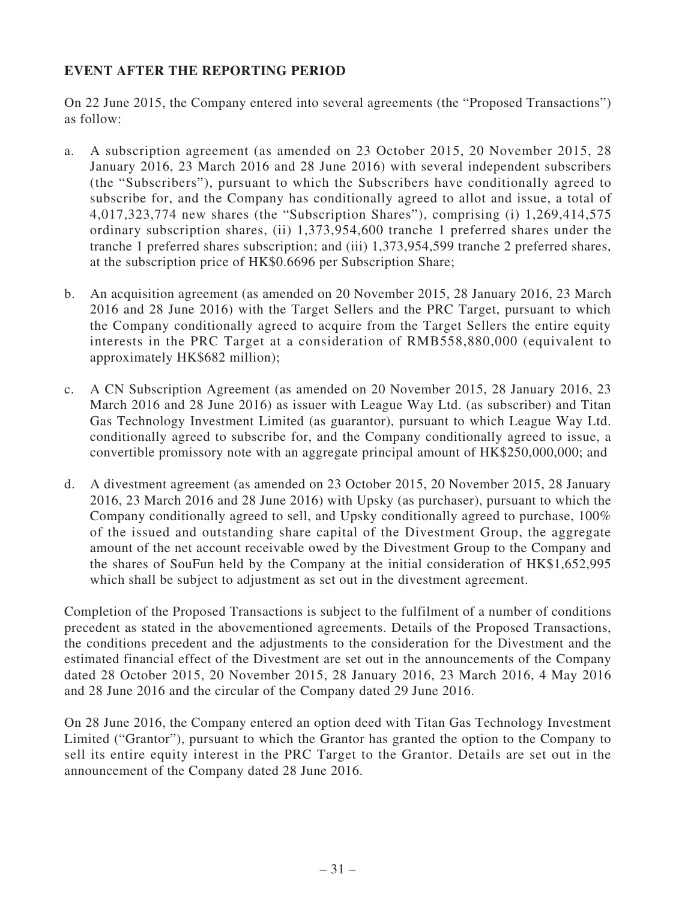# **EVENT AFTER THE REPORTING PERIOD**

On 22 June 2015, the Company entered into several agreements (the "Proposed Transactions") as follow:

- a. A subscription agreement (as amended on 23 October 2015, 20 November 2015, 28 January 2016, 23 March 2016 and 28 June 2016) with several independent subscribers (the "Subscribers"), pursuant to which the Subscribers have conditionally agreed to subscribe for, and the Company has conditionally agreed to allot and issue, a total of 4,017,323,774 new shares (the "Subscription Shares"), comprising (i) 1,269,414,575 ordinary subscription shares, (ii) 1,373,954,600 tranche 1 preferred shares under the tranche 1 preferred shares subscription; and (iii) 1,373,954,599 tranche 2 preferred shares, at the subscription price of HK\$0.6696 per Subscription Share;
- b. An acquisition agreement (as amended on 20 November 2015, 28 January 2016, 23 March 2016 and 28 June 2016) with the Target Sellers and the PRC Target, pursuant to which the Company conditionally agreed to acquire from the Target Sellers the entire equity interests in the PRC Target at a consideration of RMB558,880,000 (equivalent to approximately HK\$682 million);
- c. A CN Subscription Agreement (as amended on 20 November 2015, 28 January 2016, 23 March 2016 and 28 June 2016) as issuer with League Way Ltd. (as subscriber) and Titan Gas Technology Investment Limited (as guarantor), pursuant to which League Way Ltd. conditionally agreed to subscribe for, and the Company conditionally agreed to issue, a convertible promissory note with an aggregate principal amount of HK\$250,000,000; and
- d. A divestment agreement (as amended on 23 October 2015, 20 November 2015, 28 January 2016, 23 March 2016 and 28 June 2016) with Upsky (as purchaser), pursuant to which the Company conditionally agreed to sell, and Upsky conditionally agreed to purchase, 100% of the issued and outstanding share capital of the Divestment Group, the aggregate amount of the net account receivable owed by the Divestment Group to the Company and the shares of SouFun held by the Company at the initial consideration of HK\$1,652,995 which shall be subject to adjustment as set out in the divestment agreement.

Completion of the Proposed Transactions is subject to the fulfilment of a number of conditions precedent as stated in the abovementioned agreements. Details of the Proposed Transactions, the conditions precedent and the adjustments to the consideration for the Divestment and the estimated financial effect of the Divestment are set out in the announcements of the Company dated 28 October 2015, 20 November 2015, 28 January 2016, 23 March 2016, 4 May 2016 and 28 June 2016 and the circular of the Company dated 29 June 2016.

On 28 June 2016, the Company entered an option deed with Titan Gas Technology Investment Limited ("Grantor"), pursuant to which the Grantor has granted the option to the Company to sell its entire equity interest in the PRC Target to the Grantor. Details are set out in the announcement of the Company dated 28 June 2016.